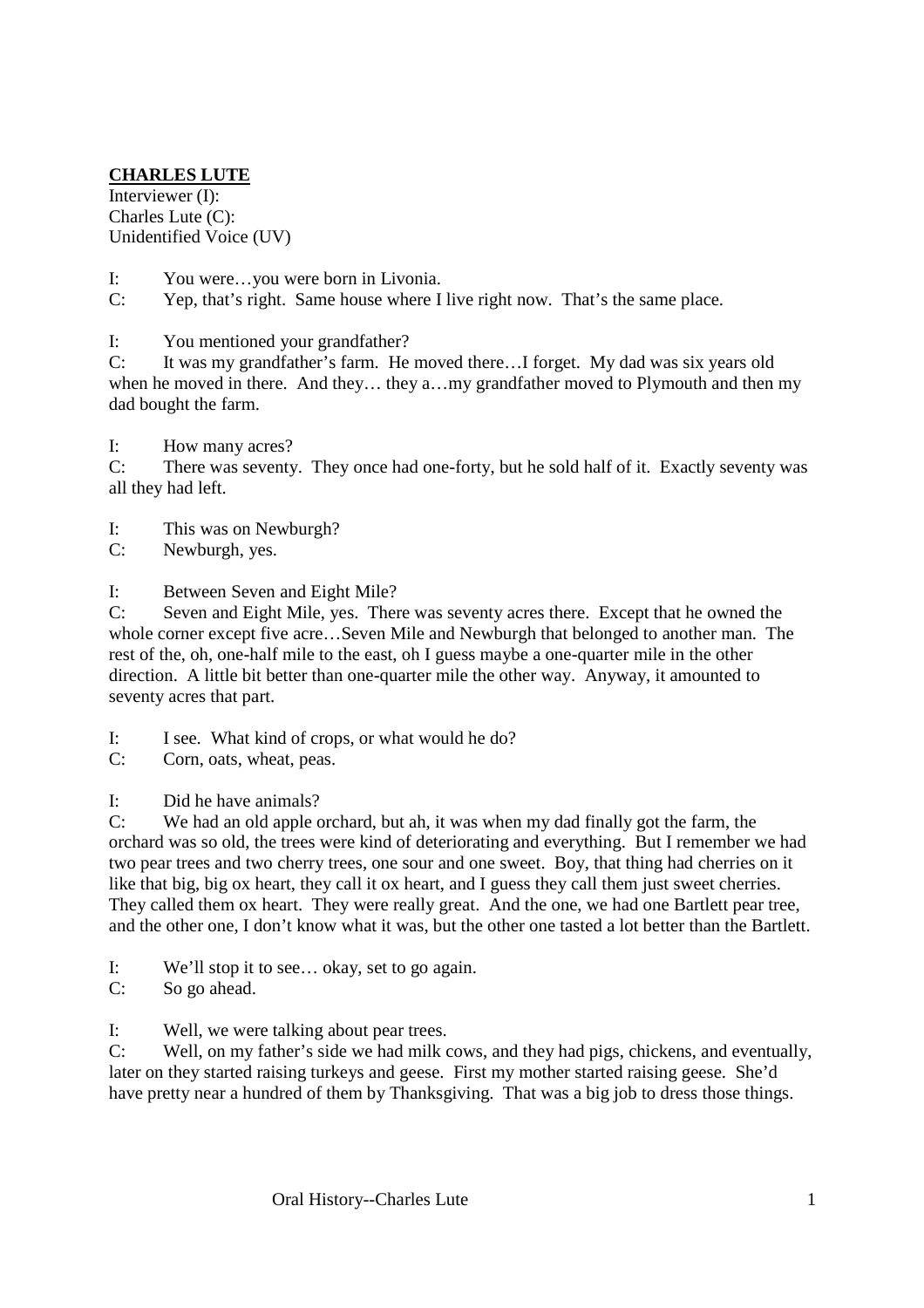## **CHARLES LUTE**

Interviewer (I): Charles Lute (C): Unidentified Voice (UV)

- I: You were…you were born in Livonia.
- C: Yep, that's right. Same house where I live right now. That's the same place.

I: You mentioned your grandfather?

C: It was my grandfather's farm. He moved there…I forget. My dad was six years old when he moved in there. And they… they a…my grandfather moved to Plymouth and then my dad bought the farm.

I: How many acres?

C: There was seventy. They once had one-forty, but he sold half of it. Exactly seventy was all they had left.

- I: This was on Newburgh?
- C: Newburgh, yes.

I: Between Seven and Eight Mile?

C: Seven and Eight Mile, yes. There was seventy acres there. Except that he owned the whole corner except five acre…Seven Mile and Newburgh that belonged to another man. The rest of the, oh, one-half mile to the east, oh I guess maybe a one-quarter mile in the other direction. A little bit better than one-quarter mile the other way. Anyway, it amounted to seventy acres that part.

- I: I see. What kind of crops, or what would he do?
- C: Corn, oats, wheat, peas.

I: Did he have animals?

C: We had an old apple orchard, but ah, it was when my dad finally got the farm, the orchard was so old, the trees were kind of deteriorating and everything. But I remember we had two pear trees and two cherry trees, one sour and one sweet. Boy, that thing had cherries on it like that big, big ox heart, they call it ox heart, and I guess they call them just sweet cherries. They called them ox heart. They were really great. And the one, we had one Bartlett pear tree, and the other one, I don't know what it was, but the other one tasted a lot better than the Bartlett.

- I: We'll stop it to see… okay, set to go again.
- C: So go ahead.

I: Well, we were talking about pear trees.

C: Well, on my father's side we had milk cows, and they had pigs, chickens, and eventually, later on they started raising turkeys and geese. First my mother started raising geese. She'd have pretty near a hundred of them by Thanksgiving. That was a big job to dress those things.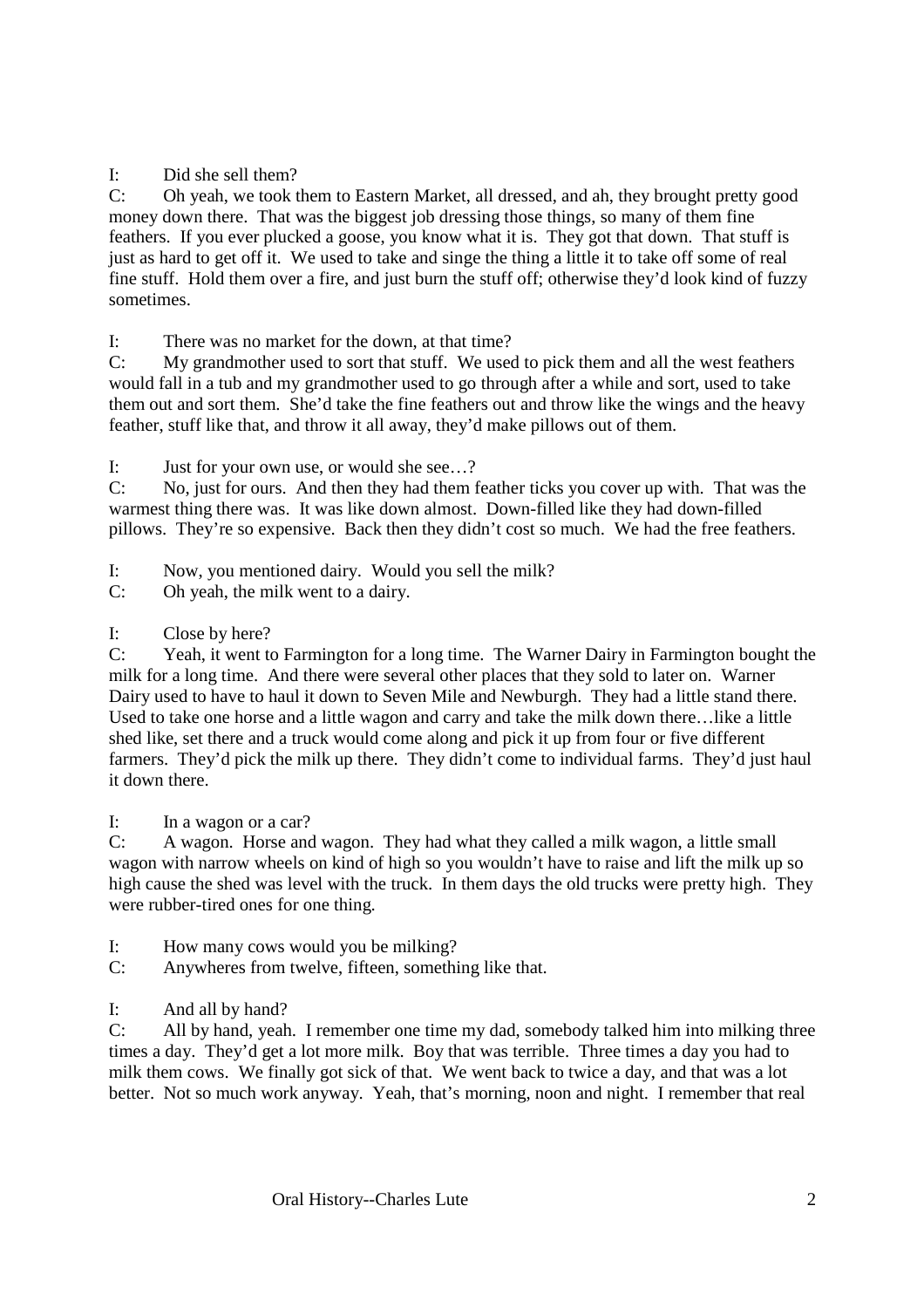I: Did she sell them?

C: Oh yeah, we took them to Eastern Market, all dressed, and ah, they brought pretty good money down there. That was the biggest job dressing those things, so many of them fine feathers. If you ever plucked a goose, you know what it is. They got that down. That stuff is just as hard to get off it. We used to take and singe the thing a little it to take off some of real fine stuff. Hold them over a fire, and just burn the stuff off; otherwise they'd look kind of fuzzy sometimes.

I: There was no market for the down, at that time?

C: My grandmother used to sort that stuff. We used to pick them and all the west feathers would fall in a tub and my grandmother used to go through after a while and sort, used to take them out and sort them. She'd take the fine feathers out and throw like the wings and the heavy feather, stuff like that, and throw it all away, they'd make pillows out of them.

I: Just for your own use, or would she see…?

C: No, just for ours. And then they had them feather ticks you cover up with. That was the warmest thing there was. It was like down almost. Down-filled like they had down-filled pillows. They're so expensive. Back then they didn't cost so much. We had the free feathers.

I: Now, you mentioned dairy. Would you sell the milk?

C: Oh yeah, the milk went to a dairy.

I: Close by here?

C: Yeah, it went to Farmington for a long time. The Warner Dairy in Farmington bought the milk for a long time. And there were several other places that they sold to later on. Warner Dairy used to have to haul it down to Seven Mile and Newburgh. They had a little stand there. Used to take one horse and a little wagon and carry and take the milk down there…like a little shed like, set there and a truck would come along and pick it up from four or five different farmers. They'd pick the milk up there. They didn't come to individual farms. They'd just haul it down there.

I: In a wagon or a car?

C: A wagon. Horse and wagon. They had what they called a milk wagon, a little small wagon with narrow wheels on kind of high so you wouldn't have to raise and lift the milk up so high cause the shed was level with the truck. In them days the old trucks were pretty high. They were rubber-tired ones for one thing.

- I: How many cows would you be milking?
- C: Anywheres from twelve, fifteen, something like that.

I: And all by hand?

C: All by hand, yeah. I remember one time my dad, somebody talked him into milking three times a day. They'd get a lot more milk. Boy that was terrible. Three times a day you had to milk them cows. We finally got sick of that. We went back to twice a day, and that was a lot better. Not so much work anyway. Yeah, that's morning, noon and night. I remember that real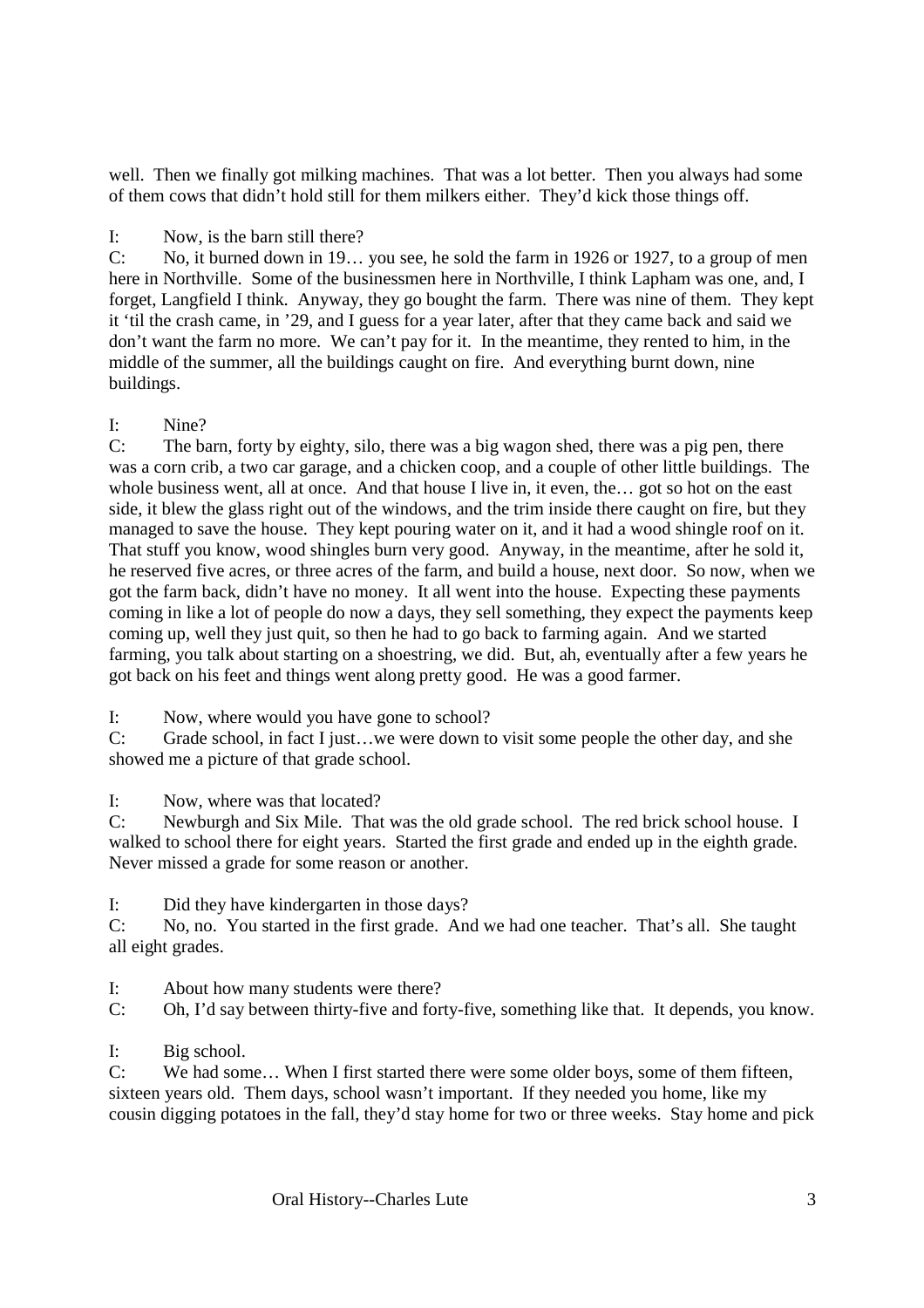well. Then we finally got milking machines. That was a lot better. Then you always had some of them cows that didn't hold still for them milkers either. They'd kick those things off.

I: Now, is the barn still there?

C: No, it burned down in 19… you see, he sold the farm in 1926 or 1927, to a group of men here in Northville. Some of the businessmen here in Northville, I think Lapham was one, and, I forget, Langfield I think. Anyway, they go bought the farm. There was nine of them. They kept it 'til the crash came, in '29, and I guess for a year later, after that they came back and said we don't want the farm no more. We can't pay for it. In the meantime, they rented to him, in the middle of the summer, all the buildings caught on fire. And everything burnt down, nine buildings.

#### I: Nine?

C: The barn, forty by eighty, silo, there was a big wagon shed, there was a pig pen, there was a corn crib, a two car garage, and a chicken coop, and a couple of other little buildings. The whole business went, all at once. And that house I live in, it even, the... got so hot on the east side, it blew the glass right out of the windows, and the trim inside there caught on fire, but they managed to save the house. They kept pouring water on it, and it had a wood shingle roof on it. That stuff you know, wood shingles burn very good. Anyway, in the meantime, after he sold it, he reserved five acres, or three acres of the farm, and build a house, next door. So now, when we got the farm back, didn't have no money. It all went into the house. Expecting these payments coming in like a lot of people do now a days, they sell something, they expect the payments keep coming up, well they just quit, so then he had to go back to farming again. And we started farming, you talk about starting on a shoestring, we did. But, ah, eventually after a few years he got back on his feet and things went along pretty good. He was a good farmer.

I: Now, where would you have gone to school?

C: Grade school, in fact I just…we were down to visit some people the other day, and she showed me a picture of that grade school.

I: Now, where was that located?

C: Newburgh and Six Mile. That was the old grade school. The red brick school house. I walked to school there for eight years. Started the first grade and ended up in the eighth grade. Never missed a grade for some reason or another.

I: Did they have kindergarten in those days?

C: No, no. You started in the first grade. And we had one teacher. That's all. She taught all eight grades.

I: About how many students were there?

C: Oh, I'd say between thirty-five and forty-five, something like that. It depends, you know.

I: Big school.

C: We had some… When I first started there were some older boys, some of them fifteen, sixteen years old. Them days, school wasn't important. If they needed you home, like my cousin digging potatoes in the fall, they'd stay home for two or three weeks. Stay home and pick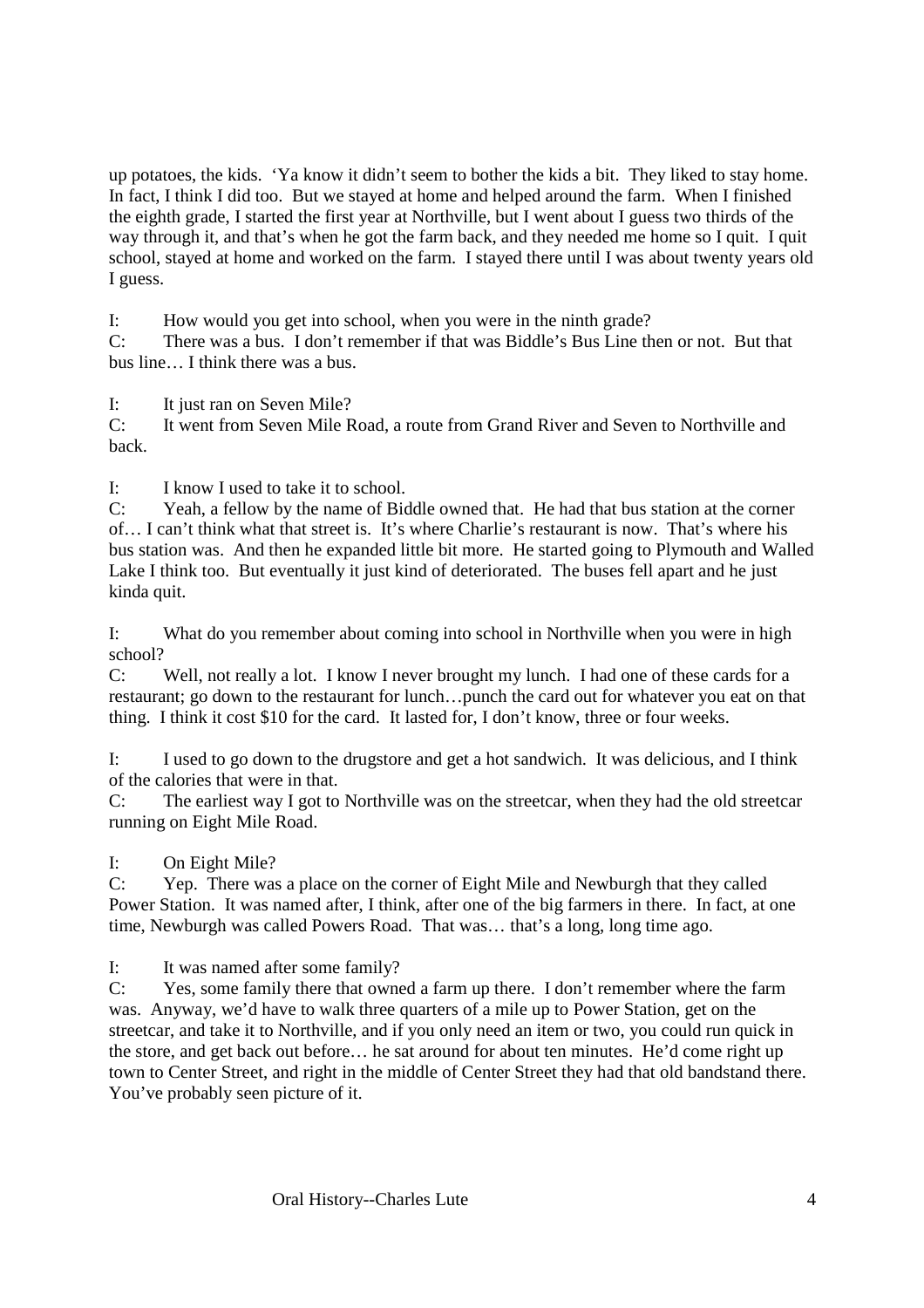up potatoes, the kids. 'Ya know it didn't seem to bother the kids a bit. They liked to stay home. In fact, I think I did too. But we stayed at home and helped around the farm. When I finished the eighth grade, I started the first year at Northville, but I went about I guess two thirds of the way through it, and that's when he got the farm back, and they needed me home so I quit. I quit school, stayed at home and worked on the farm. I stayed there until I was about twenty years old I guess.

I: How would you get into school, when you were in the ninth grade?

C: There was a bus. I don't remember if that was Biddle's Bus Line then or not. But that bus line… I think there was a bus.

I: It just ran on Seven Mile?

C: It went from Seven Mile Road, a route from Grand River and Seven to Northville and back.

I: I know I used to take it to school.

C: Yeah, a fellow by the name of Biddle owned that. He had that bus station at the corner of… I can't think what that street is. It's where Charlie's restaurant is now. That's where his bus station was. And then he expanded little bit more. He started going to Plymouth and Walled Lake I think too. But eventually it just kind of deteriorated. The buses fell apart and he just kinda quit.

I: What do you remember about coming into school in Northville when you were in high school?

C: Well, not really a lot. I know I never brought my lunch. I had one of these cards for a restaurant; go down to the restaurant for lunch…punch the card out for whatever you eat on that thing. I think it cost \$10 for the card. It lasted for, I don't know, three or four weeks.

I: I used to go down to the drugstore and get a hot sandwich. It was delicious, and I think of the calories that were in that.

C: The earliest way I got to Northville was on the streetcar, when they had the old streetcar running on Eight Mile Road.

I: On Eight Mile?

C: Yep. There was a place on the corner of Eight Mile and Newburgh that they called Power Station. It was named after, I think, after one of the big farmers in there. In fact, at one time, Newburgh was called Powers Road. That was… that's a long, long time ago.

I: It was named after some family?

C: Yes, some family there that owned a farm up there. I don't remember where the farm was. Anyway, we'd have to walk three quarters of a mile up to Power Station, get on the streetcar, and take it to Northville, and if you only need an item or two, you could run quick in the store, and get back out before… he sat around for about ten minutes. He'd come right up town to Center Street, and right in the middle of Center Street they had that old bandstand there. You've probably seen picture of it.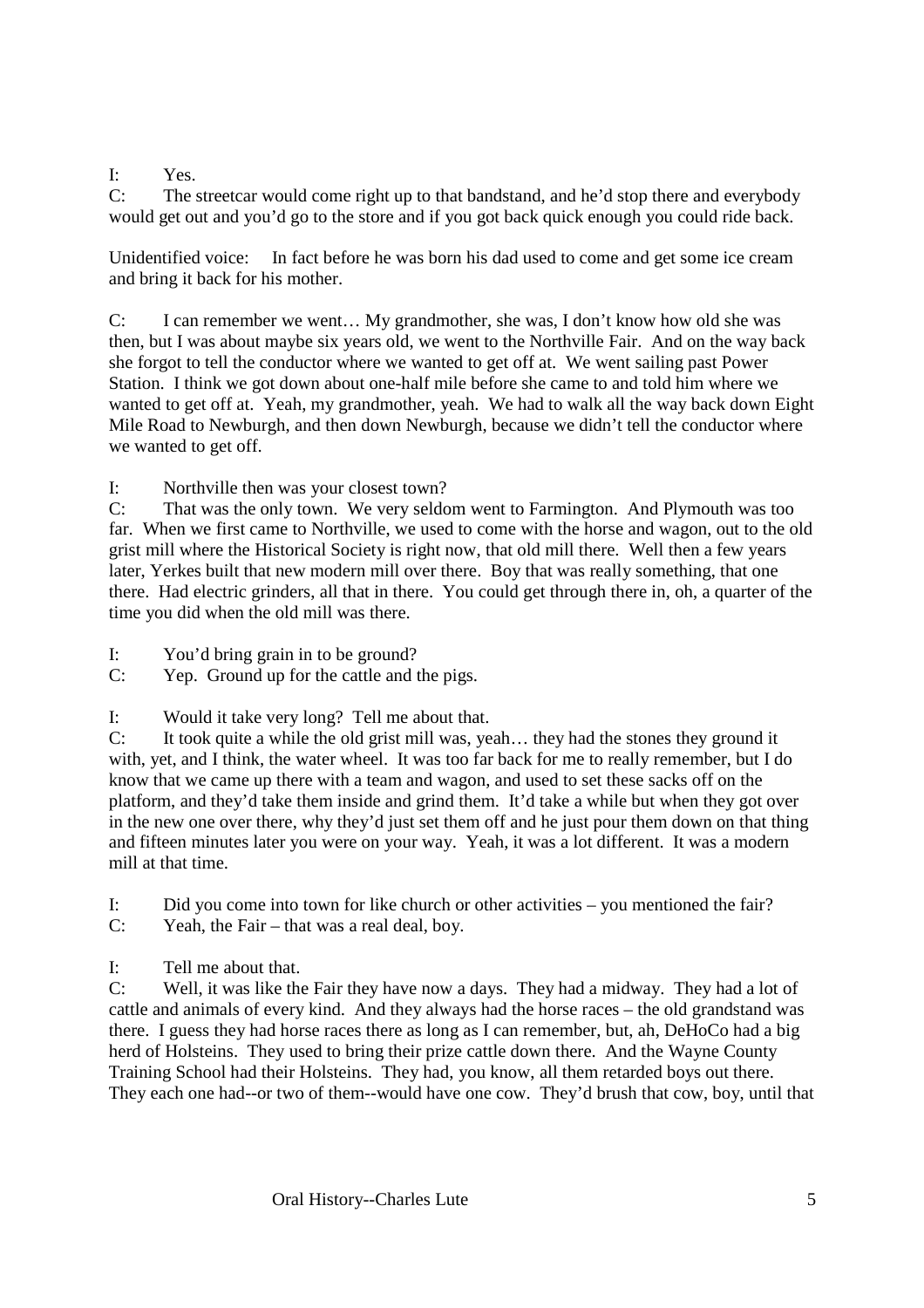I: Yes.

C: The streetcar would come right up to that bandstand, and he'd stop there and everybody would get out and you'd go to the store and if you got back quick enough you could ride back.

Unidentified voice: In fact before he was born his dad used to come and get some ice cream and bring it back for his mother.

C: I can remember we went… My grandmother, she was, I don't know how old she was then, but I was about maybe six years old, we went to the Northville Fair. And on the way back she forgot to tell the conductor where we wanted to get off at. We went sailing past Power Station. I think we got down about one-half mile before she came to and told him where we wanted to get off at. Yeah, my grandmother, yeah. We had to walk all the way back down Eight Mile Road to Newburgh, and then down Newburgh, because we didn't tell the conductor where we wanted to get off.

I: Northville then was your closest town?

C: That was the only town. We very seldom went to Farmington. And Plymouth was too far. When we first came to Northville, we used to come with the horse and wagon, out to the old grist mill where the Historical Society is right now, that old mill there. Well then a few years later, Yerkes built that new modern mill over there. Boy that was really something, that one there. Had electric grinders, all that in there. You could get through there in, oh, a quarter of the time you did when the old mill was there.

I: You'd bring grain in to be ground?

C: Yep. Ground up for the cattle and the pigs.

I: Would it take very long? Tell me about that.

C: It took quite a while the old grist mill was, yeah… they had the stones they ground it with, yet, and I think, the water wheel. It was too far back for me to really remember, but I do know that we came up there with a team and wagon, and used to set these sacks off on the platform, and they'd take them inside and grind them. It'd take a while but when they got over in the new one over there, why they'd just set them off and he just pour them down on that thing and fifteen minutes later you were on your way. Yeah, it was a lot different. It was a modern mill at that time.

I: Did you come into town for like church or other activities – you mentioned the fair? C: Yeah, the Fair – that was a real deal, boy.

I: Tell me about that.

C: Well, it was like the Fair they have now a days. They had a midway. They had a lot of cattle and animals of every kind. And they always had the horse races – the old grandstand was there. I guess they had horse races there as long as I can remember, but, ah, DeHoCo had a big herd of Holsteins. They used to bring their prize cattle down there. And the Wayne County Training School had their Holsteins. They had, you know, all them retarded boys out there. They each one had--or two of them--would have one cow. They'd brush that cow, boy, until that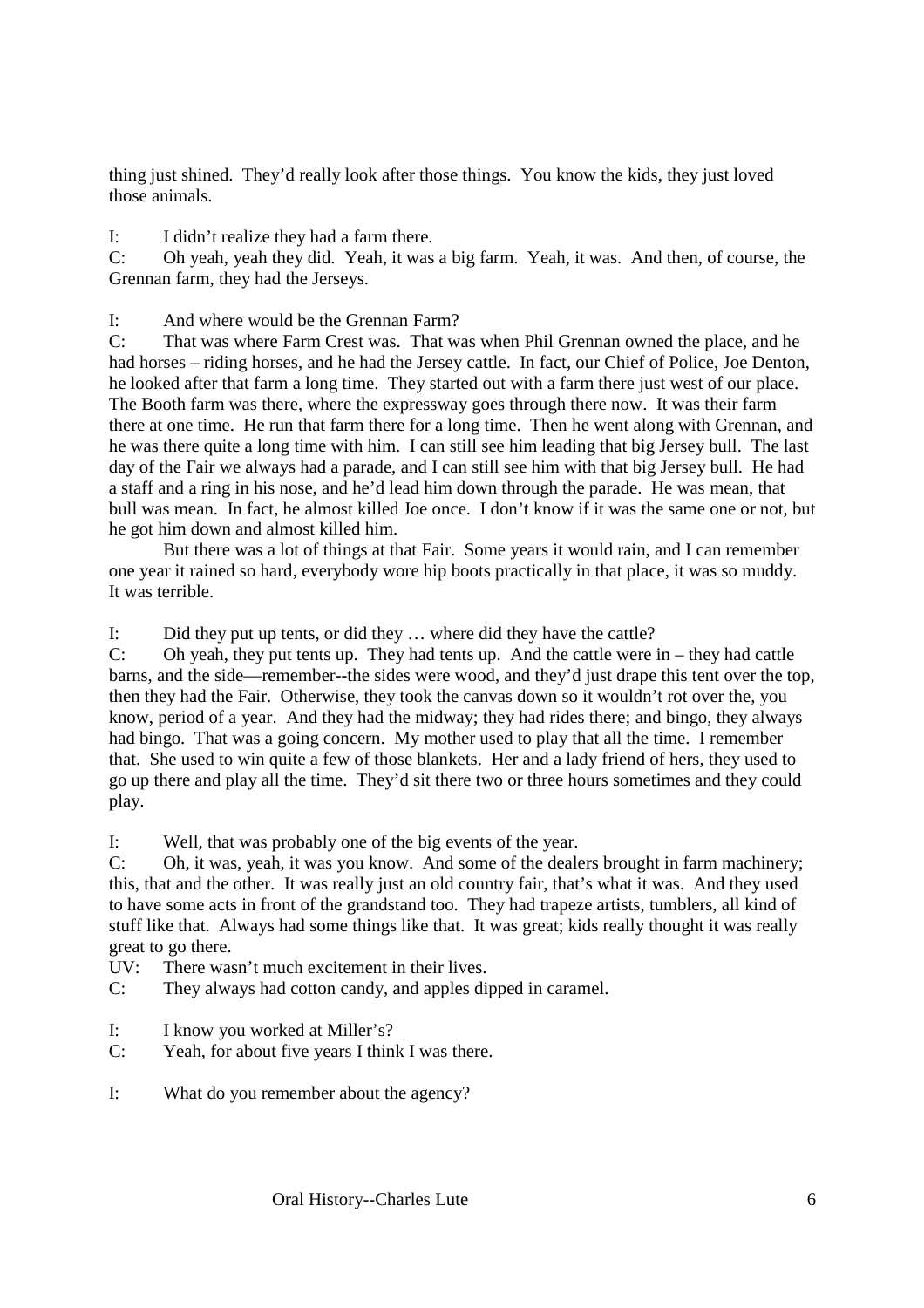thing just shined. They'd really look after those things. You know the kids, they just loved those animals.

I: I didn't realize they had a farm there.

C: Oh yeah, yeah they did. Yeah, it was a big farm. Yeah, it was. And then, of course, the Grennan farm, they had the Jerseys.

I: And where would be the Grennan Farm?

C: That was where Farm Crest was. That was when Phil Grennan owned the place, and he had horses – riding horses, and he had the Jersey cattle. In fact, our Chief of Police, Joe Denton, he looked after that farm a long time. They started out with a farm there just west of our place. The Booth farm was there, where the expressway goes through there now. It was their farm there at one time. He run that farm there for a long time. Then he went along with Grennan, and he was there quite a long time with him. I can still see him leading that big Jersey bull. The last day of the Fair we always had a parade, and I can still see him with that big Jersey bull. He had a staff and a ring in his nose, and he'd lead him down through the parade. He was mean, that bull was mean. In fact, he almost killed Joe once. I don't know if it was the same one or not, but he got him down and almost killed him.

 But there was a lot of things at that Fair. Some years it would rain, and I can remember one year it rained so hard, everybody wore hip boots practically in that place, it was so muddy. It was terrible.

I: Did they put up tents, or did they … where did they have the cattle?

C: Oh yeah, they put tents up. They had tents up. And the cattle were in – they had cattle barns, and the side—remember--the sides were wood, and they'd just drape this tent over the top, then they had the Fair. Otherwise, they took the canvas down so it wouldn't rot over the, you know, period of a year. And they had the midway; they had rides there; and bingo, they always had bingo. That was a going concern. My mother used to play that all the time. I remember that. She used to win quite a few of those blankets. Her and a lady friend of hers, they used to go up there and play all the time. They'd sit there two or three hours sometimes and they could play.

I: Well, that was probably one of the big events of the year.

C: Oh, it was, yeah, it was you know. And some of the dealers brought in farm machinery; this, that and the other. It was really just an old country fair, that's what it was. And they used to have some acts in front of the grandstand too. They had trapeze artists, tumblers, all kind of stuff like that. Always had some things like that. It was great; kids really thought it was really great to go there.

- UV: There wasn't much excitement in their lives.
- C: They always had cotton candy, and apples dipped in caramel.
- I: I know you worked at Miller's?
- C: Yeah, for about five years I think I was there.
- I: What do you remember about the agency?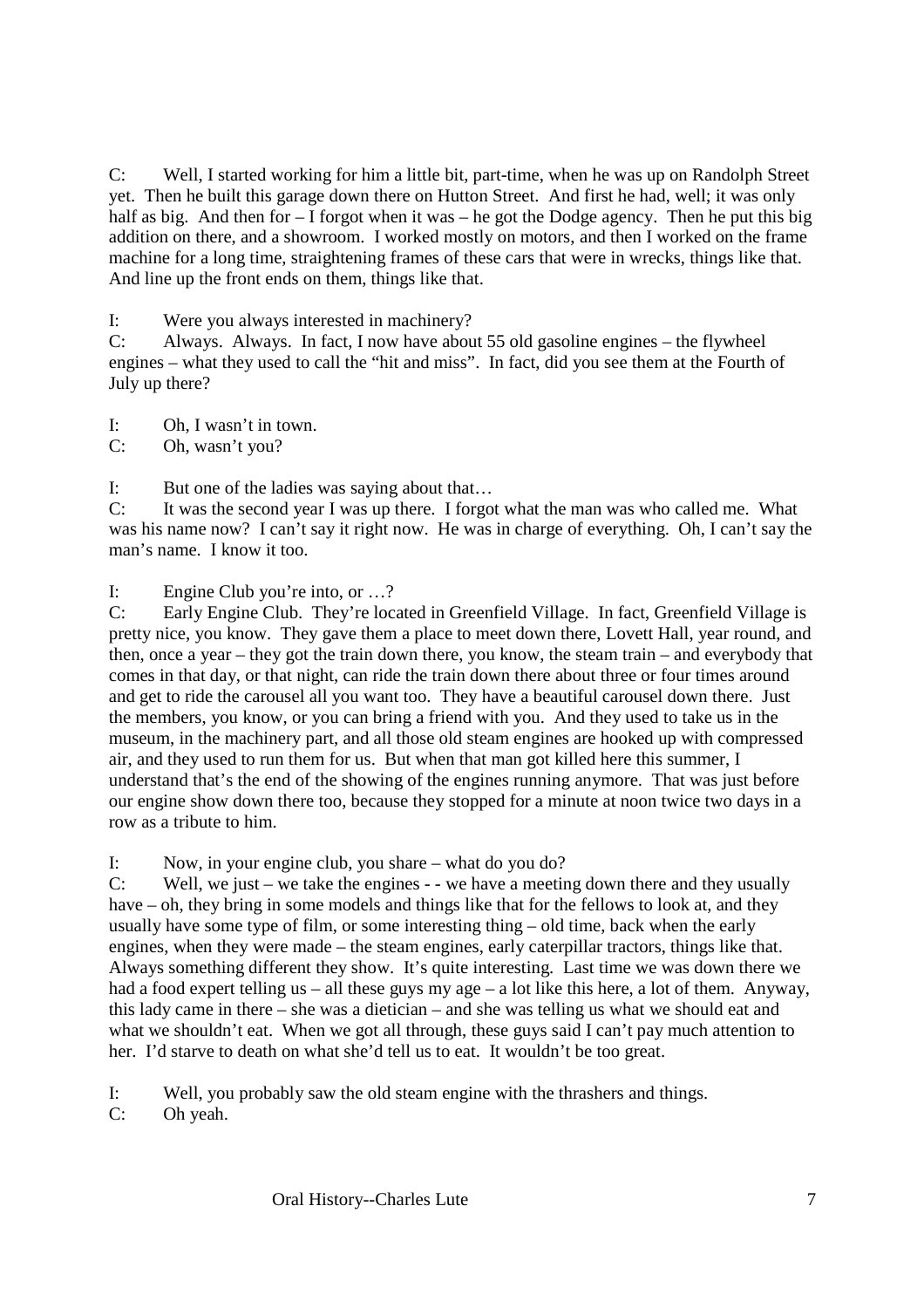C: Well, I started working for him a little bit, part-time, when he was up on Randolph Street yet. Then he built this garage down there on Hutton Street. And first he had, well; it was only half as big. And then for – I forgot when it was – he got the Dodge agency. Then he put this big addition on there, and a showroom. I worked mostly on motors, and then I worked on the frame machine for a long time, straightening frames of these cars that were in wrecks, things like that. And line up the front ends on them, things like that.

I: Were you always interested in machinery?

C: Always. Always. In fact, I now have about 55 old gasoline engines – the flywheel engines – what they used to call the "hit and miss". In fact, did you see them at the Fourth of July up there?

I: Oh, I wasn't in town.

C: Oh, wasn't you?

I: But one of the ladies was saying about that…

C: It was the second year I was up there. I forgot what the man was who called me. What was his name now? I can't say it right now. He was in charge of everything. Oh, I can't say the man's name. I know it too.

I: Engine Club you're into, or …?

C: Early Engine Club. They're located in Greenfield Village. In fact, Greenfield Village is pretty nice, you know. They gave them a place to meet down there, Lovett Hall, year round, and then, once a year – they got the train down there, you know, the steam train – and everybody that comes in that day, or that night, can ride the train down there about three or four times around and get to ride the carousel all you want too. They have a beautiful carousel down there. Just the members, you know, or you can bring a friend with you. And they used to take us in the museum, in the machinery part, and all those old steam engines are hooked up with compressed air, and they used to run them for us. But when that man got killed here this summer, I understand that's the end of the showing of the engines running anymore. That was just before our engine show down there too, because they stopped for a minute at noon twice two days in a row as a tribute to him.

I: Now, in your engine club, you share – what do you do?

C: Well, we just – we take the engines - - we have a meeting down there and they usually have – oh, they bring in some models and things like that for the fellows to look at, and they usually have some type of film, or some interesting thing – old time, back when the early engines, when they were made – the steam engines, early caterpillar tractors, things like that. Always something different they show. It's quite interesting. Last time we was down there we had a food expert telling us – all these guys my age – a lot like this here, a lot of them. Anyway, this lady came in there – she was a dietician – and she was telling us what we should eat and what we shouldn't eat. When we got all through, these guys said I can't pay much attention to her. I'd starve to death on what she'd tell us to eat. It wouldn't be too great.

I: Well, you probably saw the old steam engine with the thrashers and things.

C: Oh yeah.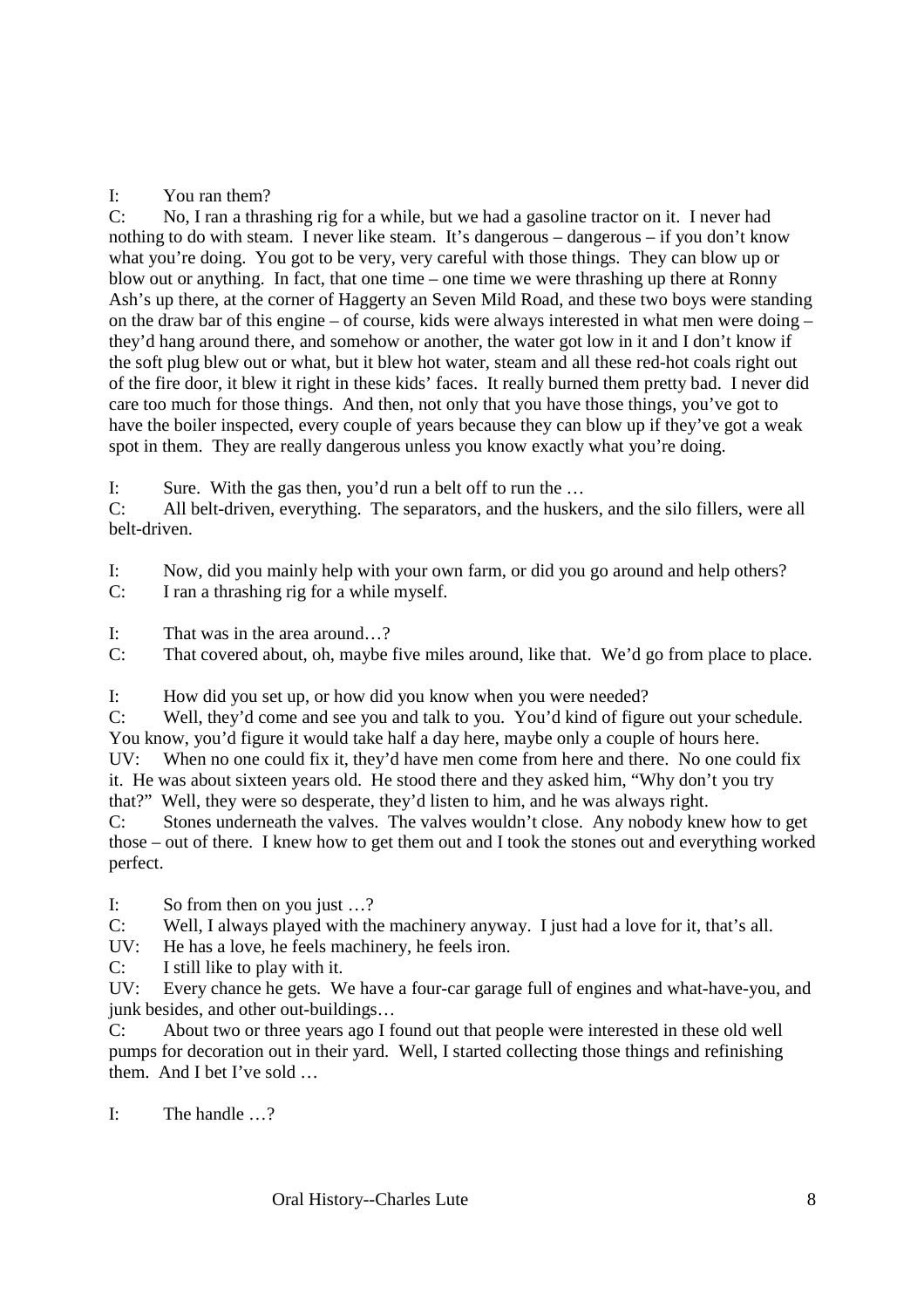# I: You ran them?<br>C: No. I ran a thra

No, I ran a thrashing rig for a while, but we had a gasoline tractor on it. I never had nothing to do with steam. I never like steam. It's dangerous – dangerous – if you don't know what you're doing. You got to be very, very careful with those things. They can blow up or blow out or anything. In fact, that one time – one time we were thrashing up there at Ronny Ash's up there, at the corner of Haggerty an Seven Mild Road, and these two boys were standing on the draw bar of this engine – of course, kids were always interested in what men were doing – they'd hang around there, and somehow or another, the water got low in it and I don't know if the soft plug blew out or what, but it blew hot water, steam and all these red-hot coals right out of the fire door, it blew it right in these kids' faces. It really burned them pretty bad. I never did care too much for those things. And then, not only that you have those things, you've got to have the boiler inspected, every couple of years because they can blow up if they've got a weak spot in them. They are really dangerous unless you know exactly what you're doing.

I: Sure. With the gas then, you'd run a belt off to run the …

C: All belt-driven, everything. The separators, and the huskers, and the silo fillers, were all belt-driven.

I: Now, did you mainly help with your own farm, or did you go around and help others?

C: I ran a thrashing rig for a while myself.

I: That was in the area around  $\gamma$ 

C: That covered about, oh, maybe five miles around, like that. We'd go from place to place.

I: How did you set up, or how did you know when you were needed?

C: Well, they'd come and see you and talk to you. You'd kind of figure out your schedule. You know, you'd figure it would take half a day here, maybe only a couple of hours here.

UV: When no one could fix it, they'd have men come from here and there. No one could fix it. He was about sixteen years old. He stood there and they asked him, "Why don't you try that?" Well, they were so desperate, they'd listen to him, and he was always right.

C: Stones underneath the valves. The valves wouldn't close. Any nobody knew how to get those – out of there. I knew how to get them out and I took the stones out and everything worked perfect.

I: So from then on you just …?

C: Well, I always played with the machinery anyway. I just had a love for it, that's all.

UV: He has a love, he feels machinery, he feels iron.

C: I still like to play with it.

UV: Every chance he gets. We have a four-car garage full of engines and what-have-you, and junk besides, and other out-buildings…

C: About two or three years ago I found out that people were interested in these old well pumps for decoration out in their yard. Well, I started collecting those things and refinishing them. And I bet I've sold …

I: The handle  $\sqrt{2}$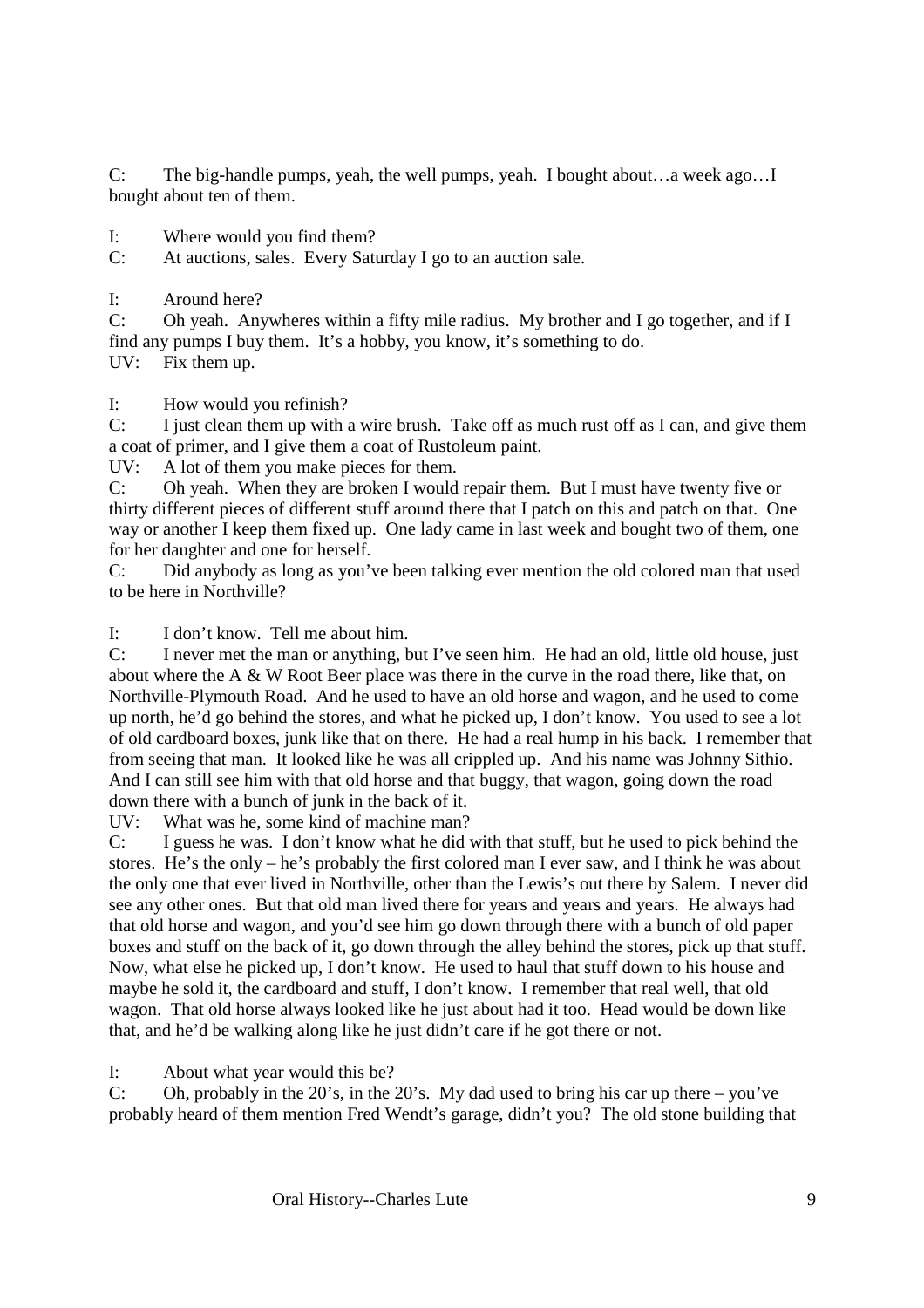C: The big-handle pumps, yeah, the well pumps, yeah. I bought about…a week ago…I bought about ten of them.

I: Where would you find them?

C: At auctions, sales. Every Saturday I go to an auction sale.

I: Around here?

C: Oh yeah. Anywheres within a fifty mile radius. My brother and I go together, and if I find any pumps I buy them. It's a hobby, you know, it's something to do. UV: Fix them up.

I: How would you refinish?

C: I just clean them up with a wire brush. Take off as much rust off as I can, and give them a coat of primer, and I give them a coat of Rustoleum paint.

UV: A lot of them you make pieces for them.

C: Oh yeah. When they are broken I would repair them. But I must have twenty five or thirty different pieces of different stuff around there that I patch on this and patch on that. One way or another I keep them fixed up. One lady came in last week and bought two of them, one for her daughter and one for herself.

C: Did anybody as long as you've been talking ever mention the old colored man that used to be here in Northville?

I: I don't know. Tell me about him.

C: I never met the man or anything, but I've seen him. He had an old, little old house, just about where the A & W Root Beer place was there in the curve in the road there, like that, on Northville-Plymouth Road. And he used to have an old horse and wagon, and he used to come up north, he'd go behind the stores, and what he picked up, I don't know. You used to see a lot of old cardboard boxes, junk like that on there. He had a real hump in his back. I remember that from seeing that man. It looked like he was all crippled up. And his name was Johnny Sithio. And I can still see him with that old horse and that buggy, that wagon, going down the road down there with a bunch of junk in the back of it.

UV: What was he, some kind of machine man?

C: I guess he was. I don't know what he did with that stuff, but he used to pick behind the stores. He's the only – he's probably the first colored man I ever saw, and I think he was about the only one that ever lived in Northville, other than the Lewis's out there by Salem. I never did see any other ones. But that old man lived there for years and years and years. He always had that old horse and wagon, and you'd see him go down through there with a bunch of old paper boxes and stuff on the back of it, go down through the alley behind the stores, pick up that stuff. Now, what else he picked up, I don't know. He used to haul that stuff down to his house and maybe he sold it, the cardboard and stuff, I don't know. I remember that real well, that old wagon. That old horse always looked like he just about had it too. Head would be down like that, and he'd be walking along like he just didn't care if he got there or not.

I: About what year would this be?

C: Oh, probably in the 20's, in the 20's. My dad used to bring his car up there – you've probably heard of them mention Fred Wendt's garage, didn't you? The old stone building that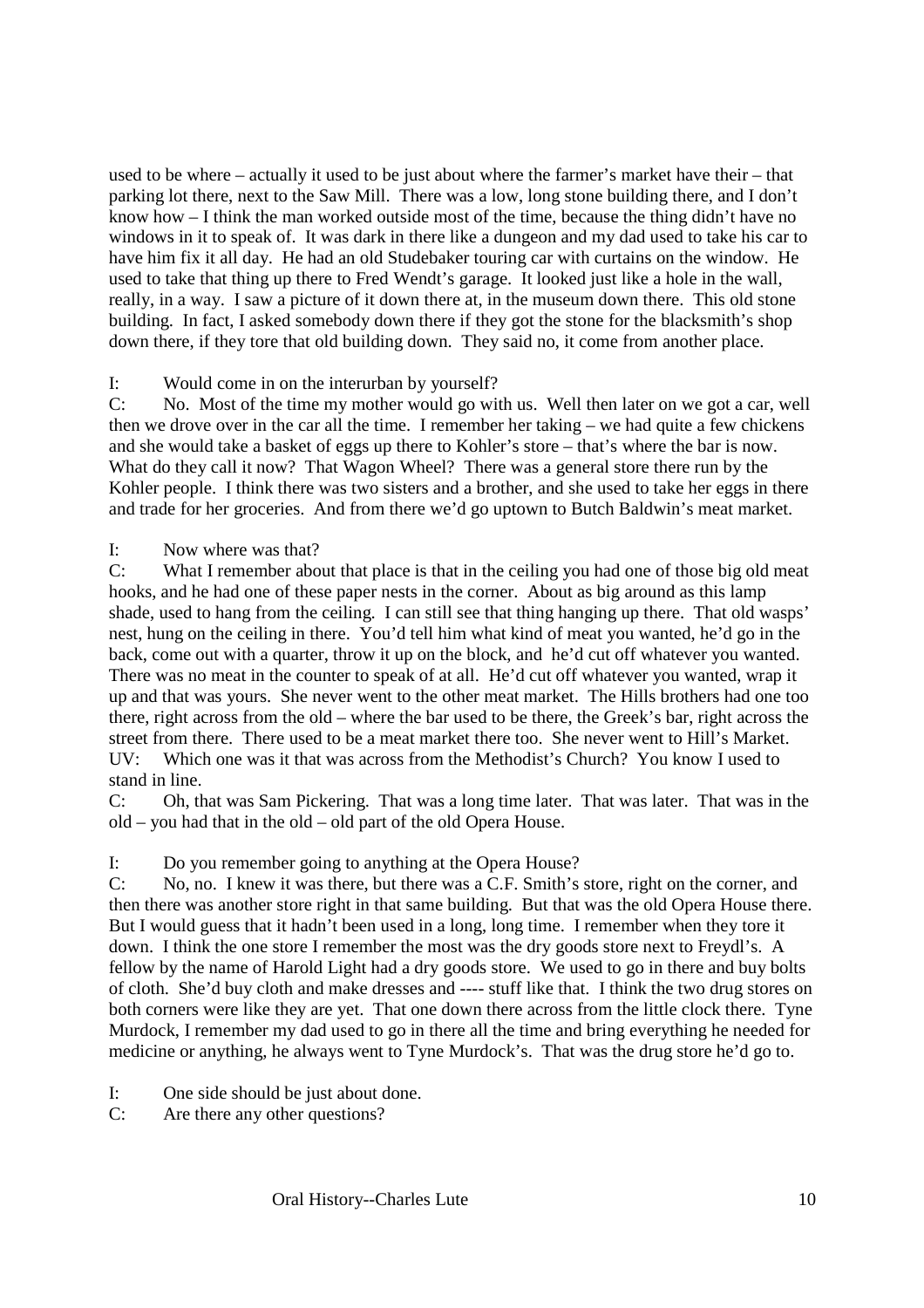used to be where – actually it used to be just about where the farmer's market have their – that parking lot there, next to the Saw Mill. There was a low, long stone building there, and I don't know how – I think the man worked outside most of the time, because the thing didn't have no windows in it to speak of. It was dark in there like a dungeon and my dad used to take his car to have him fix it all day. He had an old Studebaker touring car with curtains on the window. He used to take that thing up there to Fred Wendt's garage. It looked just like a hole in the wall, really, in a way. I saw a picture of it down there at, in the museum down there. This old stone building. In fact, I asked somebody down there if they got the stone for the blacksmith's shop down there, if they tore that old building down. They said no, it come from another place.

### I: Would come in on the interurban by yourself?

C: No. Most of the time my mother would go with us. Well then later on we got a car, well then we drove over in the car all the time. I remember her taking – we had quite a few chickens and she would take a basket of eggs up there to Kohler's store – that's where the bar is now. What do they call it now? That Wagon Wheel? There was a general store there run by the Kohler people. I think there was two sisters and a brother, and she used to take her eggs in there and trade for her groceries. And from there we'd go uptown to Butch Baldwin's meat market.

#### I: Now where was that?

C: What I remember about that place is that in the ceiling you had one of those big old meat hooks, and he had one of these paper nests in the corner. About as big around as this lamp shade, used to hang from the ceiling. I can still see that thing hanging up there. That old wasps' nest, hung on the ceiling in there. You'd tell him what kind of meat you wanted, he'd go in the back, come out with a quarter, throw it up on the block, and he'd cut off whatever you wanted. There was no meat in the counter to speak of at all. He'd cut off whatever you wanted, wrap it up and that was yours. She never went to the other meat market. The Hills brothers had one too there, right across from the old – where the bar used to be there, the Greek's bar, right across the street from there. There used to be a meat market there too. She never went to Hill's Market.  $UV:$  Which one was it that was across from the Methodist's Church? You know I used to stand in line.

C: Oh, that was Sam Pickering. That was a long time later. That was later. That was in the old – you had that in the old – old part of the old Opera House.

I: Do you remember going to anything at the Opera House?

C: No, no. I knew it was there, but there was a C.F. Smith's store, right on the corner, and then there was another store right in that same building. But that was the old Opera House there. But I would guess that it hadn't been used in a long, long time. I remember when they tore it down. I think the one store I remember the most was the dry goods store next to Freydl's. A fellow by the name of Harold Light had a dry goods store. We used to go in there and buy bolts of cloth. She'd buy cloth and make dresses and ---- stuff like that. I think the two drug stores on both corners were like they are yet. That one down there across from the little clock there. Tyne Murdock, I remember my dad used to go in there all the time and bring everything he needed for medicine or anything, he always went to Tyne Murdock's. That was the drug store he'd go to.

- I: One side should be just about done.
- C: Are there any other questions?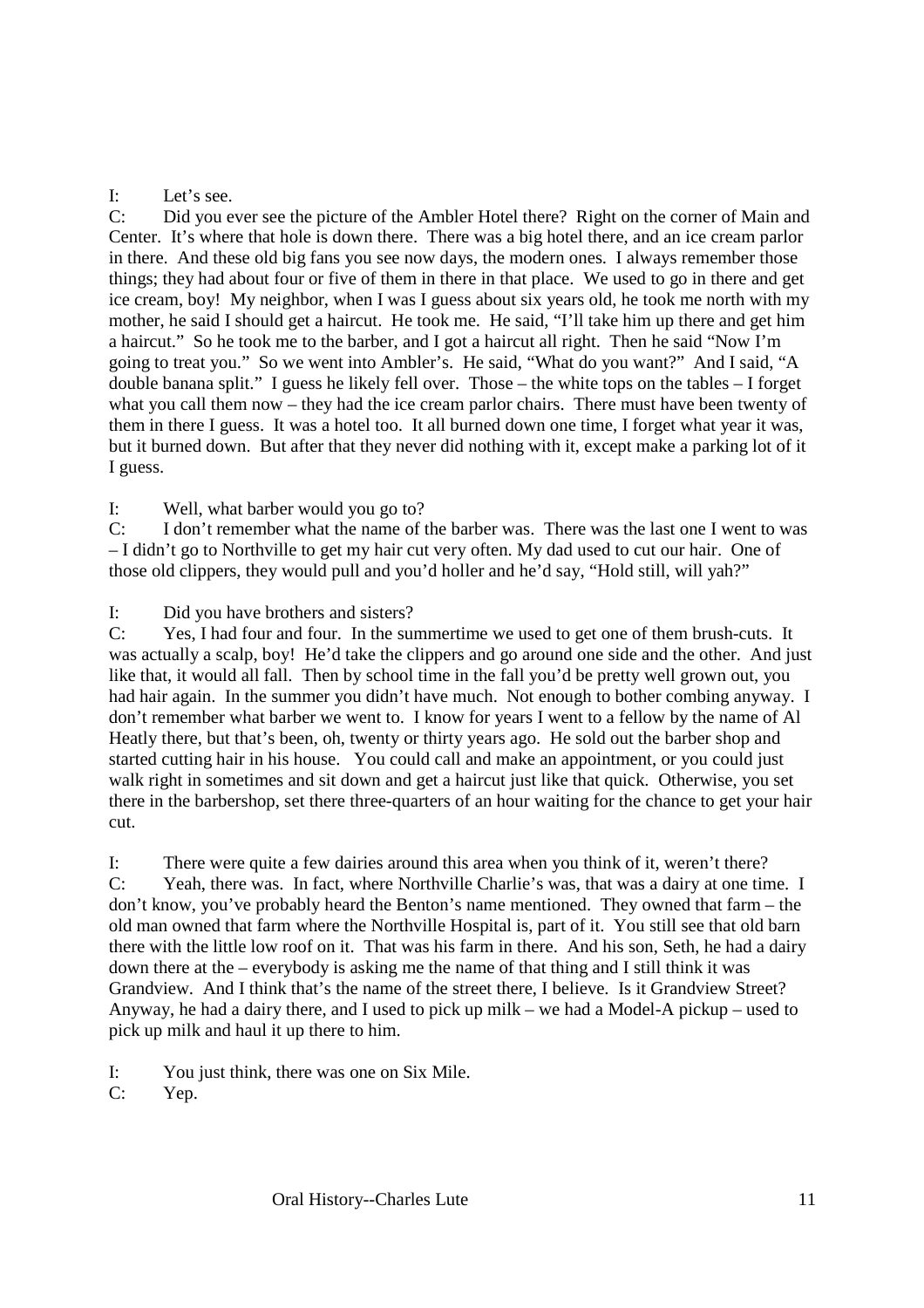#### I: Let's see.

C: Did you ever see the picture of the Ambler Hotel there? Right on the corner of Main and Center. It's where that hole is down there. There was a big hotel there, and an ice cream parlor in there. And these old big fans you see now days, the modern ones. I always remember those things; they had about four or five of them in there in that place. We used to go in there and get ice cream, boy! My neighbor, when I was I guess about six years old, he took me north with my mother, he said I should get a haircut. He took me. He said, "I'll take him up there and get him a haircut." So he took me to the barber, and I got a haircut all right. Then he said "Now I'm going to treat you." So we went into Ambler's. He said, "What do you want?" And I said, "A double banana split." I guess he likely fell over. Those – the white tops on the tables – I forget what you call them now – they had the ice cream parlor chairs. There must have been twenty of them in there I guess. It was a hotel too. It all burned down one time, I forget what year it was, but it burned down. But after that they never did nothing with it, except make a parking lot of it I guess.

I: Well, what barber would you go to?

C: I don't remember what the name of the barber was. There was the last one I went to was – I didn't go to Northville to get my hair cut very often. My dad used to cut our hair. One of those old clippers, they would pull and you'd holler and he'd say, "Hold still, will yah?"

I: Did you have brothers and sisters?

C: Yes, I had four and four. In the summertime we used to get one of them brush-cuts. It was actually a scalp, boy! He'd take the clippers and go around one side and the other. And just like that, it would all fall. Then by school time in the fall you'd be pretty well grown out, you had hair again. In the summer you didn't have much. Not enough to bother combing anyway. I don't remember what barber we went to. I know for years I went to a fellow by the name of Al Heatly there, but that's been, oh, twenty or thirty years ago. He sold out the barber shop and started cutting hair in his house. You could call and make an appointment, or you could just walk right in sometimes and sit down and get a haircut just like that quick. Otherwise, you set there in the barbershop, set there three-quarters of an hour waiting for the chance to get your hair cut.

I: There were quite a few dairies around this area when you think of it, weren't there? C: Yeah, there was. In fact, where Northville Charlie's was, that was a dairy at one time. I don't know, you've probably heard the Benton's name mentioned. They owned that farm – the old man owned that farm where the Northville Hospital is, part of it. You still see that old barn there with the little low roof on it. That was his farm in there. And his son, Seth, he had a dairy down there at the – everybody is asking me the name of that thing and I still think it was Grandview. And I think that's the name of the street there, I believe. Is it Grandview Street? Anyway, he had a dairy there, and I used to pick up milk – we had a Model-A pickup – used to pick up milk and haul it up there to him.

I: You just think, there was one on Six Mile.

C: Yep.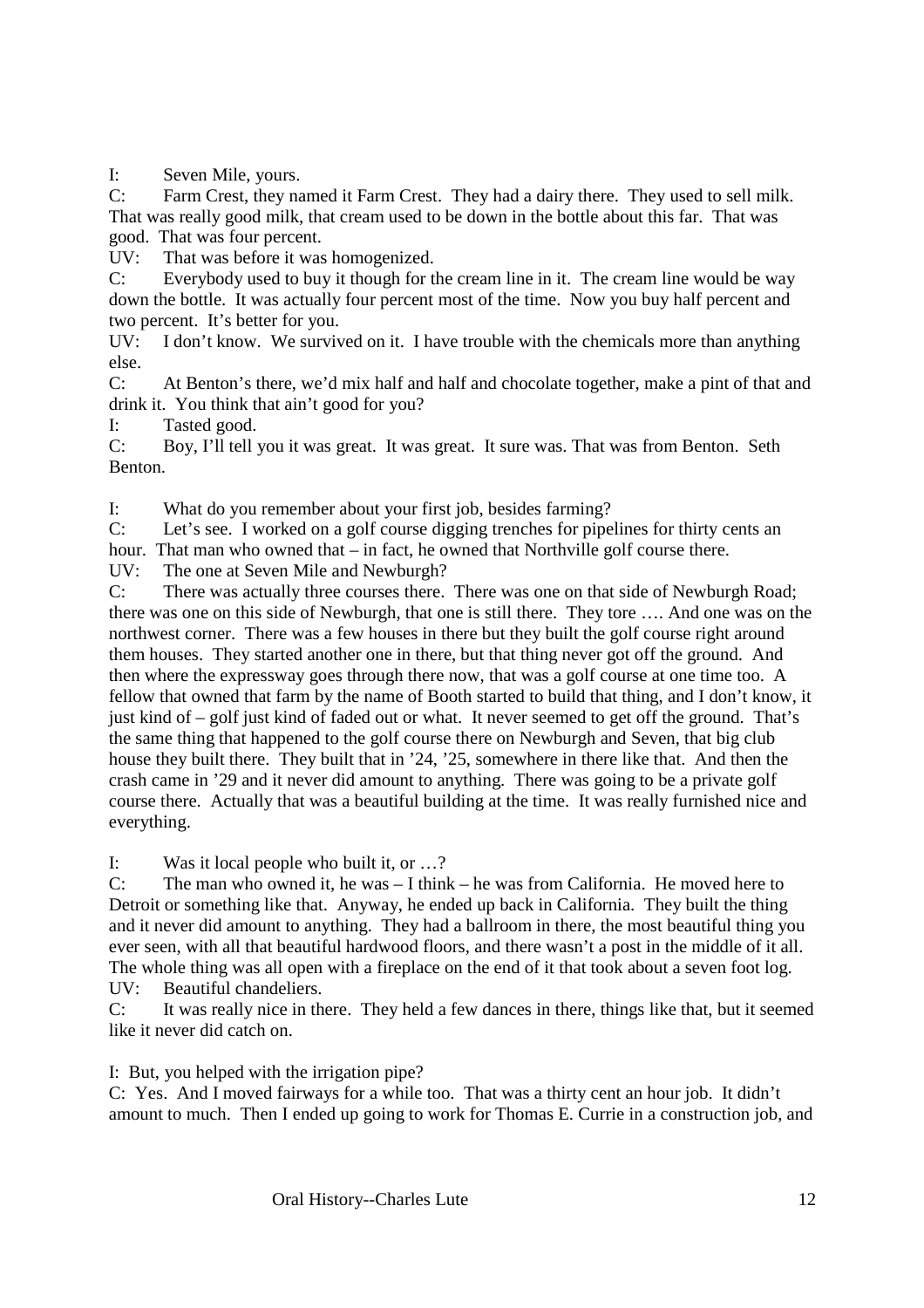I: Seven Mile, yours.

C: Farm Crest, they named it Farm Crest. They had a dairy there. They used to sell milk. That was really good milk, that cream used to be down in the bottle about this far. That was good. That was four percent.

UV: That was before it was homogenized.

C: Everybody used to buy it though for the cream line in it. The cream line would be way down the bottle. It was actually four percent most of the time. Now you buy half percent and two percent. It's better for you.

UV: I don't know. We survived on it. I have trouble with the chemicals more than anything else.

C: At Benton's there, we'd mix half and half and chocolate together, make a pint of that and drink it. You think that ain't good for you?

I: Tasted good.

C: Boy, I'll tell you it was great. It was great. It sure was. That was from Benton. Seth Benton.

I: What do you remember about your first job, besides farming?

C: Let's see. I worked on a golf course digging trenches for pipelines for thirty cents an

hour. That man who owned that – in fact, he owned that Northville golf course there.

UV: The one at Seven Mile and Newburgh?

C: There was actually three courses there. There was one on that side of Newburgh Road; there was one on this side of Newburgh, that one is still there. They tore …. And one was on the northwest corner. There was a few houses in there but they built the golf course right around them houses. They started another one in there, but that thing never got off the ground. And then where the expressway goes through there now, that was a golf course at one time too. A fellow that owned that farm by the name of Booth started to build that thing, and I don't know, it just kind of – golf just kind of faded out or what. It never seemed to get off the ground. That's the same thing that happened to the golf course there on Newburgh and Seven, that big club house they built there. They built that in '24, '25, somewhere in there like that. And then the crash came in '29 and it never did amount to anything. There was going to be a private golf course there. Actually that was a beautiful building at the time. It was really furnished nice and everything.

I: Was it local people who built it, or …?

C: The man who owned it, he was – I think – he was from California. He moved here to Detroit or something like that. Anyway, he ended up back in California. They built the thing and it never did amount to anything. They had a ballroom in there, the most beautiful thing you ever seen, with all that beautiful hardwood floors, and there wasn't a post in the middle of it all. The whole thing was all open with a fireplace on the end of it that took about a seven foot log. UV: Beautiful chandeliers.

C: It was really nice in there. They held a few dances in there, things like that, but it seemed like it never did catch on.

I: But, you helped with the irrigation pipe?

C: Yes. And I moved fairways for a while too. That was a thirty cent an hour job. It didn't amount to much. Then I ended up going to work for Thomas E. Currie in a construction job, and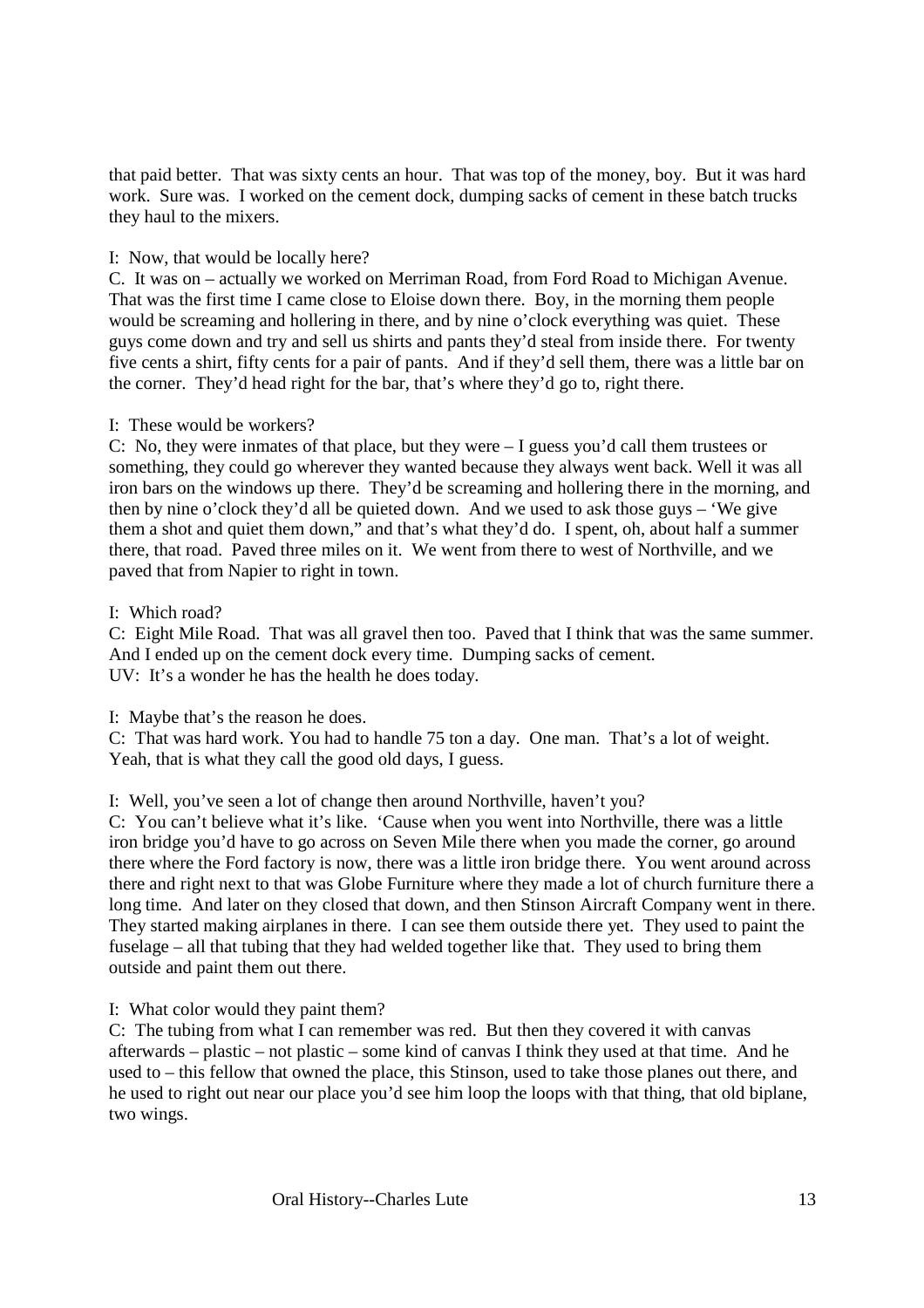that paid better. That was sixty cents an hour. That was top of the money, boy. But it was hard work. Sure was. I worked on the cement dock, dumping sacks of cement in these batch trucks they haul to the mixers.

#### I: Now, that would be locally here?

C. It was on – actually we worked on Merriman Road, from Ford Road to Michigan Avenue. That was the first time I came close to Eloise down there. Boy, in the morning them people would be screaming and hollering in there, and by nine o'clock everything was quiet. These guys come down and try and sell us shirts and pants they'd steal from inside there. For twenty five cents a shirt, fifty cents for a pair of pants. And if they'd sell them, there was a little bar on the corner. They'd head right for the bar, that's where they'd go to, right there.

#### I: These would be workers?

C: No, they were inmates of that place, but they were – I guess you'd call them trustees or something, they could go wherever they wanted because they always went back. Well it was all iron bars on the windows up there. They'd be screaming and hollering there in the morning, and then by nine o'clock they'd all be quieted down. And we used to ask those guys – 'We give them a shot and quiet them down," and that's what they'd do. I spent, oh, about half a summer there, that road. Paved three miles on it. We went from there to west of Northville, and we paved that from Napier to right in town.

#### I: Which road?

C: Eight Mile Road. That was all gravel then too. Paved that I think that was the same summer. And I ended up on the cement dock every time. Dumping sacks of cement. UV: It's a wonder he has the health he does today.

I: Maybe that's the reason he does.

C: That was hard work. You had to handle 75 ton a day. One man. That's a lot of weight. Yeah, that is what they call the good old days, I guess.

### I: Well, you've seen a lot of change then around Northville, haven't you?

C: You can't believe what it's like. 'Cause when you went into Northville, there was a little iron bridge you'd have to go across on Seven Mile there when you made the corner, go around there where the Ford factory is now, there was a little iron bridge there. You went around across there and right next to that was Globe Furniture where they made a lot of church furniture there a long time. And later on they closed that down, and then Stinson Aircraft Company went in there. They started making airplanes in there. I can see them outside there yet. They used to paint the fuselage – all that tubing that they had welded together like that. They used to bring them outside and paint them out there.

I: What color would they paint them?

C: The tubing from what I can remember was red. But then they covered it with canvas afterwards – plastic – not plastic – some kind of canvas I think they used at that time. And he used to – this fellow that owned the place, this Stinson, used to take those planes out there, and he used to right out near our place you'd see him loop the loops with that thing, that old biplane, two wings.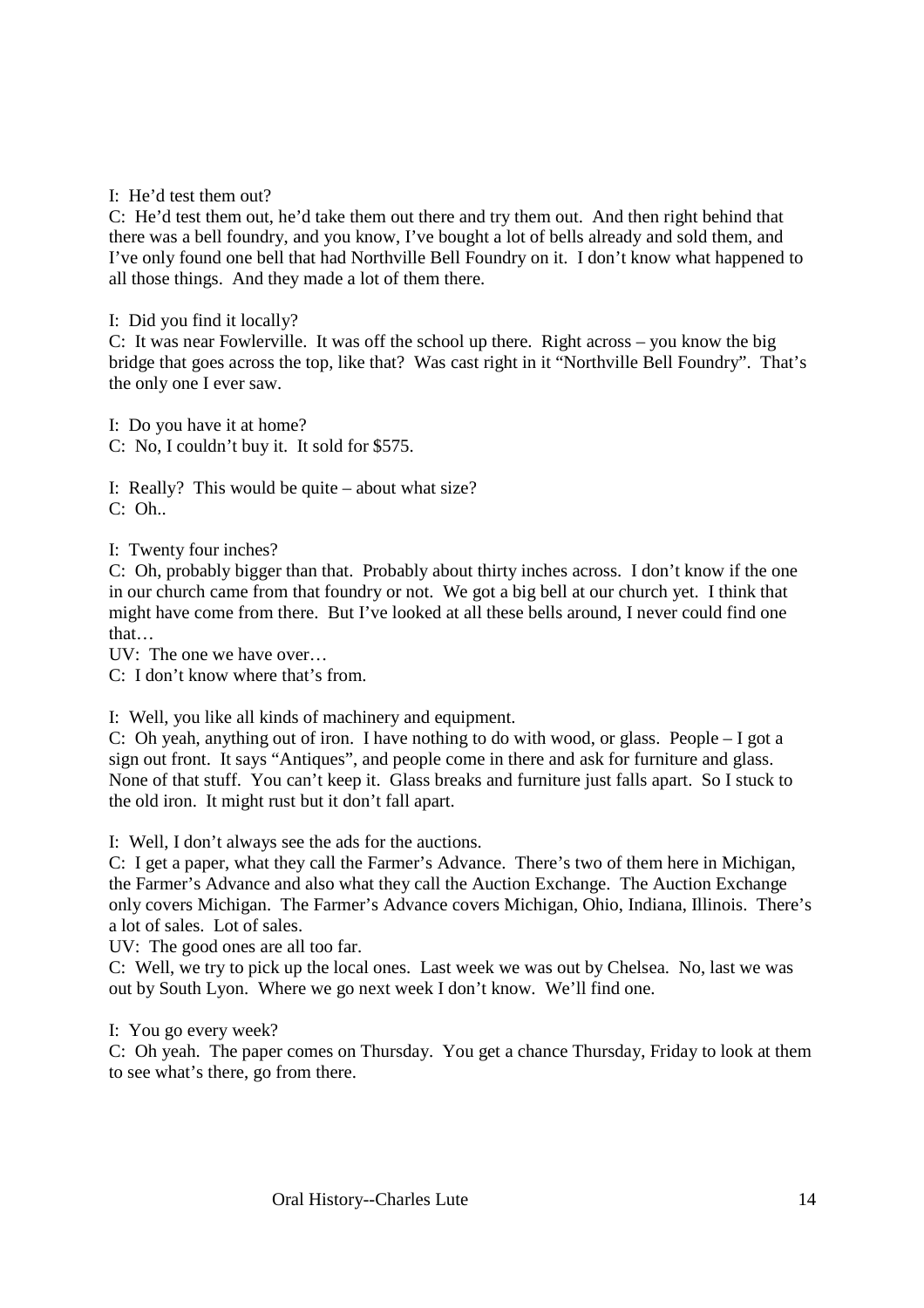I: He'd test them out?

C: He'd test them out, he'd take them out there and try them out. And then right behind that there was a bell foundry, and you know, I've bought a lot of bells already and sold them, and I've only found one bell that had Northville Bell Foundry on it. I don't know what happened to all those things. And they made a lot of them there.

I: Did you find it locally?

C: It was near Fowlerville. It was off the school up there. Right across – you know the big bridge that goes across the top, like that? Was cast right in it "Northville Bell Foundry". That's the only one I ever saw.

I: Do you have it at home?

C: No, I couldn't buy it. It sold for \$575.

I: Really? This would be quite – about what size? C: Oh..

I: Twenty four inches?

C: Oh, probably bigger than that. Probably about thirty inches across. I don't know if the one in our church came from that foundry or not. We got a big bell at our church yet. I think that might have come from there. But I've looked at all these bells around, I never could find one that…

UV: The one we have over…

C: I don't know where that's from.

I: Well, you like all kinds of machinery and equipment.

C: Oh yeah, anything out of iron. I have nothing to do with wood, or glass. People – I got a sign out front. It says "Antiques", and people come in there and ask for furniture and glass. None of that stuff. You can't keep it. Glass breaks and furniture just falls apart. So I stuck to the old iron. It might rust but it don't fall apart.

I: Well, I don't always see the ads for the auctions.

C: I get a paper, what they call the Farmer's Advance. There's two of them here in Michigan, the Farmer's Advance and also what they call the Auction Exchange. The Auction Exchange only covers Michigan. The Farmer's Advance covers Michigan, Ohio, Indiana, Illinois. There's a lot of sales. Lot of sales.

UV: The good ones are all too far.

C: Well, we try to pick up the local ones. Last week we was out by Chelsea. No, last we was out by South Lyon. Where we go next week I don't know. We'll find one.

I: You go every week?

C: Oh yeah. The paper comes on Thursday. You get a chance Thursday, Friday to look at them to see what's there, go from there.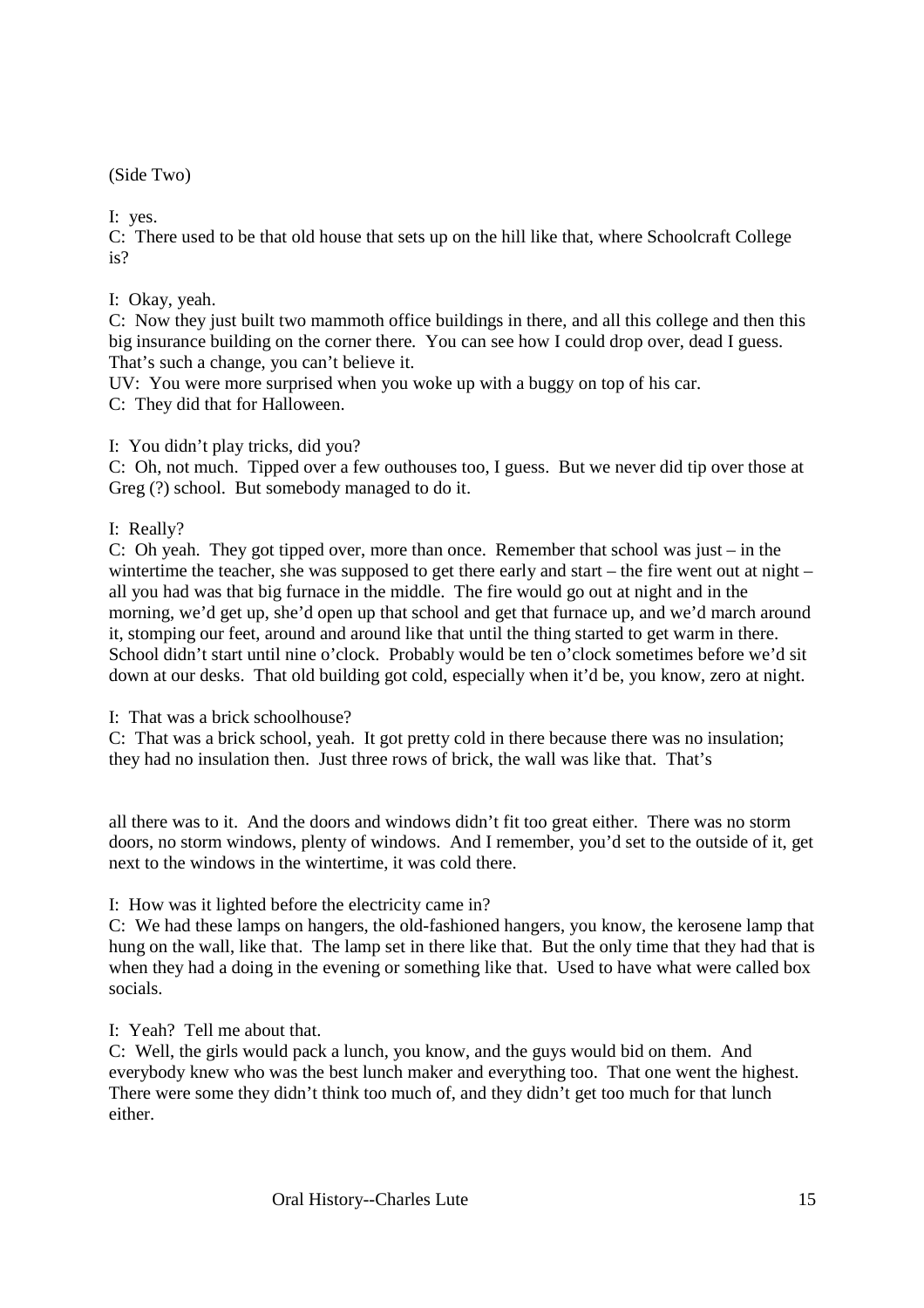(Side Two)

I: yes.

C: There used to be that old house that sets up on the hill like that, where Schoolcraft College is?

#### I: Okay, yeah.

C: Now they just built two mammoth office buildings in there, and all this college and then this big insurance building on the corner there. You can see how I could drop over, dead I guess. That's such a change, you can't believe it.

UV: You were more surprised when you woke up with a buggy on top of his car.

C: They did that for Halloween.

#### I: You didn't play tricks, did you?

C: Oh, not much. Tipped over a few outhouses too, I guess. But we never did tip over those at Greg (?) school. But somebody managed to do it.

I: Really?

C: Oh yeah. They got tipped over, more than once. Remember that school was just – in the wintertime the teacher, she was supposed to get there early and start – the fire went out at night – all you had was that big furnace in the middle. The fire would go out at night and in the morning, we'd get up, she'd open up that school and get that furnace up, and we'd march around it, stomping our feet, around and around like that until the thing started to get warm in there. School didn't start until nine o'clock. Probably would be ten o'clock sometimes before we'd sit down at our desks. That old building got cold, especially when it'd be, you know, zero at night.

I: That was a brick schoolhouse?

C: That was a brick school, yeah. It got pretty cold in there because there was no insulation; they had no insulation then. Just three rows of brick, the wall was like that. That's

all there was to it. And the doors and windows didn't fit too great either. There was no storm doors, no storm windows, plenty of windows. And I remember, you'd set to the outside of it, get next to the windows in the wintertime, it was cold there.

I: How was it lighted before the electricity came in?

C: We had these lamps on hangers, the old-fashioned hangers, you know, the kerosene lamp that hung on the wall, like that. The lamp set in there like that. But the only time that they had that is when they had a doing in the evening or something like that. Used to have what were called box socials.

I: Yeah? Tell me about that.

C: Well, the girls would pack a lunch, you know, and the guys would bid on them. And everybody knew who was the best lunch maker and everything too. That one went the highest. There were some they didn't think too much of, and they didn't get too much for that lunch either.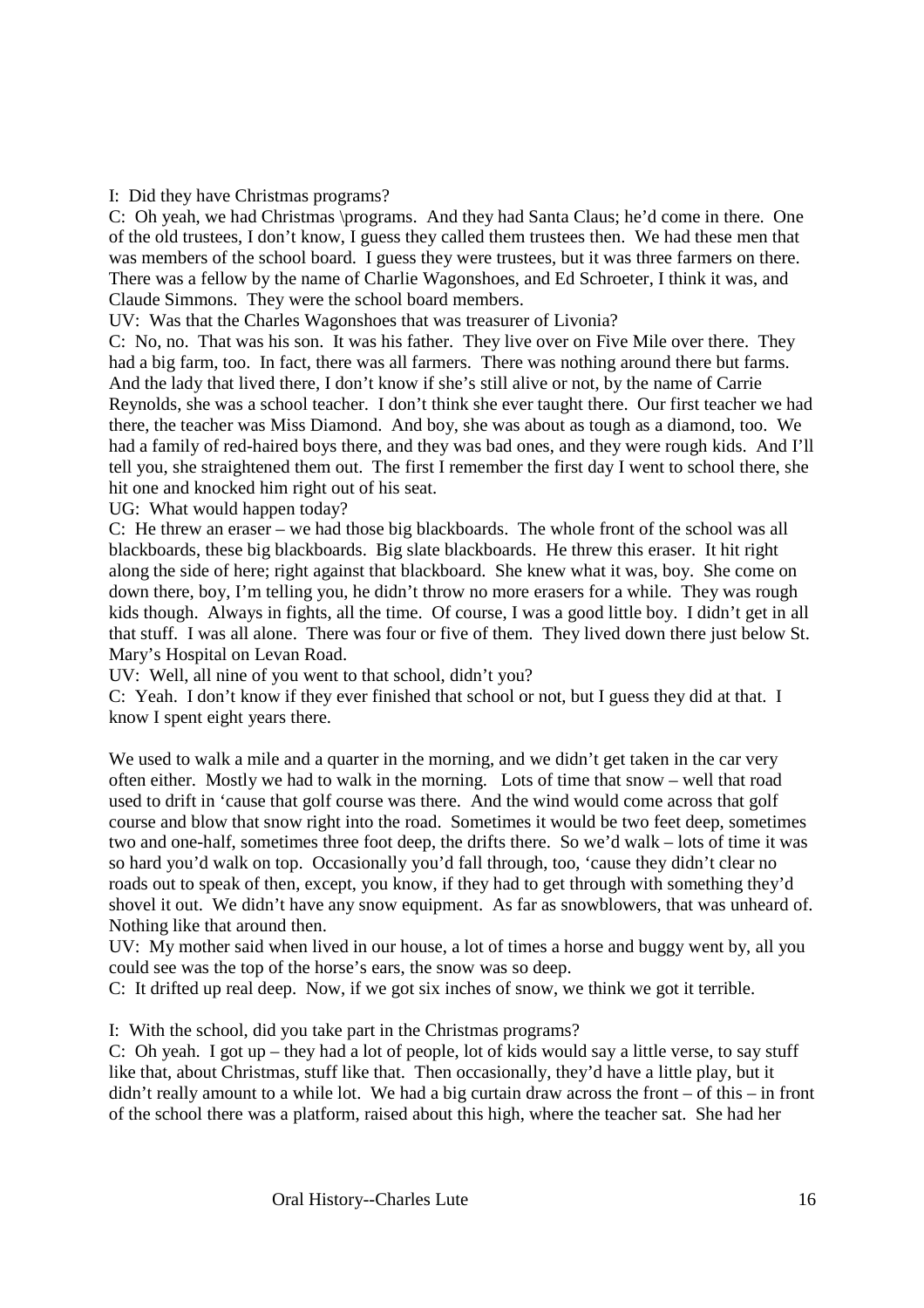#### I: Did they have Christmas programs?

C: Oh yeah, we had Christmas \programs. And they had Santa Claus; he'd come in there. One of the old trustees, I don't know, I guess they called them trustees then. We had these men that was members of the school board. I guess they were trustees, but it was three farmers on there. There was a fellow by the name of Charlie Wagonshoes, and Ed Schroeter, I think it was, and Claude Simmons. They were the school board members.

UV: Was that the Charles Wagonshoes that was treasurer of Livonia?

C: No, no. That was his son. It was his father. They live over on Five Mile over there. They had a big farm, too. In fact, there was all farmers. There was nothing around there but farms. And the lady that lived there, I don't know if she's still alive or not, by the name of Carrie Reynolds, she was a school teacher. I don't think she ever taught there. Our first teacher we had there, the teacher was Miss Diamond. And boy, she was about as tough as a diamond, too. We had a family of red-haired boys there, and they was bad ones, and they were rough kids. And I'll tell you, she straightened them out. The first I remember the first day I went to school there, she hit one and knocked him right out of his seat.

UG: What would happen today?

C: He threw an eraser – we had those big blackboards. The whole front of the school was all blackboards, these big blackboards. Big slate blackboards. He threw this eraser. It hit right along the side of here; right against that blackboard. She knew what it was, boy. She come on down there, boy, I'm telling you, he didn't throw no more erasers for a while. They was rough kids though. Always in fights, all the time. Of course, I was a good little boy. I didn't get in all that stuff. I was all alone. There was four or five of them. They lived down there just below St. Mary's Hospital on Levan Road.

UV: Well, all nine of you went to that school, didn't you?

C: Yeah. I don't know if they ever finished that school or not, but I guess they did at that. I know I spent eight years there.

We used to walk a mile and a quarter in the morning, and we didn't get taken in the car very often either. Mostly we had to walk in the morning. Lots of time that snow – well that road used to drift in 'cause that golf course was there. And the wind would come across that golf course and blow that snow right into the road. Sometimes it would be two feet deep, sometimes two and one-half, sometimes three foot deep, the drifts there. So we'd walk – lots of time it was so hard you'd walk on top. Occasionally you'd fall through, too, 'cause they didn't clear no roads out to speak of then, except, you know, if they had to get through with something they'd shovel it out. We didn't have any snow equipment. As far as snowblowers, that was unheard of. Nothing like that around then.

UV: My mother said when lived in our house, a lot of times a horse and buggy went by, all you could see was the top of the horse's ears, the snow was so deep.

C: It drifted up real deep. Now, if we got six inches of snow, we think we got it terrible.

I: With the school, did you take part in the Christmas programs?

C: Oh yeah. I got up – they had a lot of people, lot of kids would say a little verse, to say stuff like that, about Christmas, stuff like that. Then occasionally, they'd have a little play, but it didn't really amount to a while lot. We had a big curtain draw across the front – of this – in front of the school there was a platform, raised about this high, where the teacher sat. She had her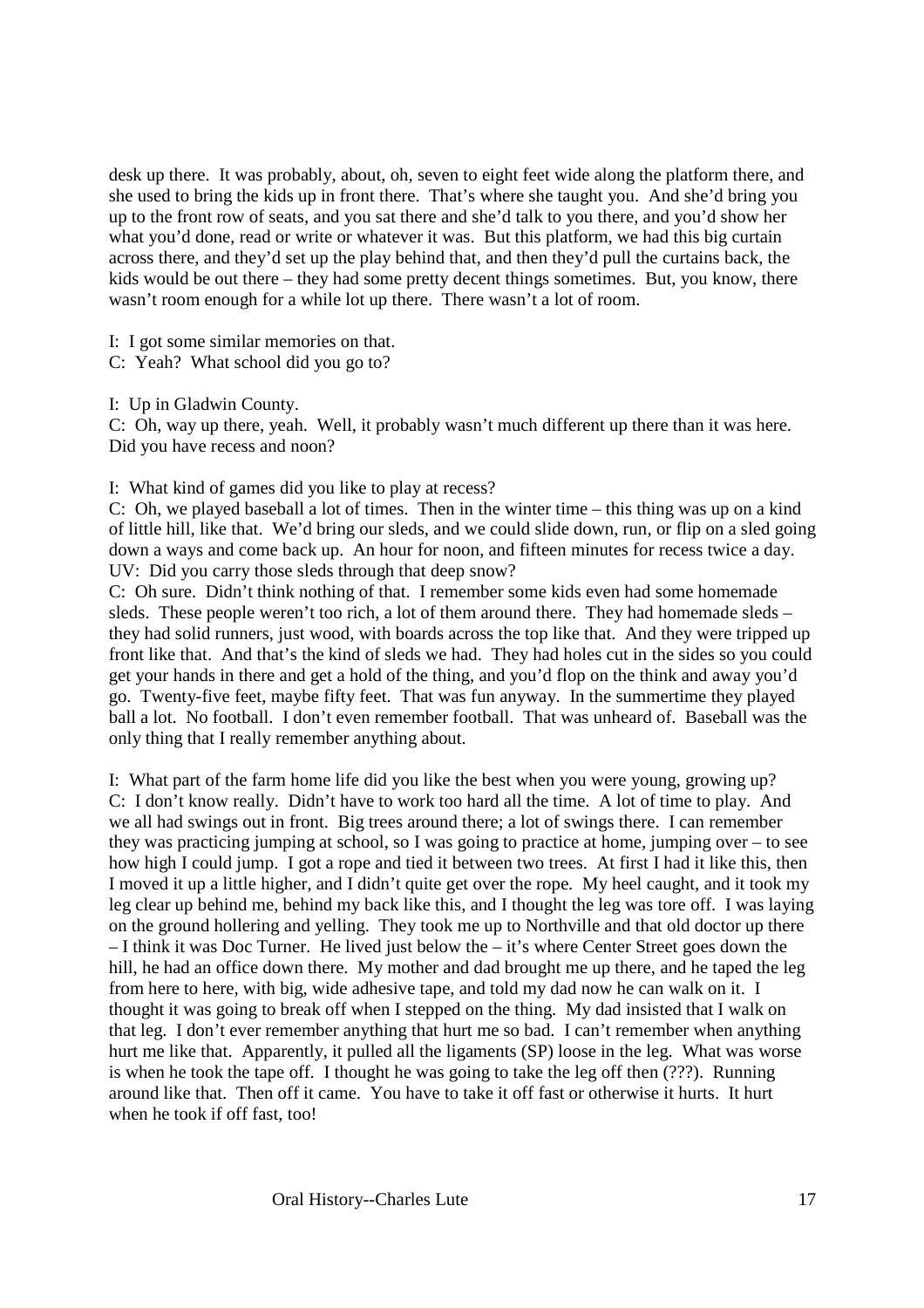desk up there. It was probably, about, oh, seven to eight feet wide along the platform there, and she used to bring the kids up in front there. That's where she taught you. And she'd bring you up to the front row of seats, and you sat there and she'd talk to you there, and you'd show her what you'd done, read or write or whatever it was. But this platform, we had this big curtain across there, and they'd set up the play behind that, and then they'd pull the curtains back, the kids would be out there – they had some pretty decent things sometimes. But, you know, there wasn't room enough for a while lot up there. There wasn't a lot of room.

I: I got some similar memories on that.

C: Yeah? What school did you go to?

I: Up in Gladwin County.

C: Oh, way up there, yeah. Well, it probably wasn't much different up there than it was here. Did you have recess and noon?

I: What kind of games did you like to play at recess?

C: Oh, we played baseball a lot of times. Then in the winter time – this thing was up on a kind of little hill, like that. We'd bring our sleds, and we could slide down, run, or flip on a sled going down a ways and come back up. An hour for noon, and fifteen minutes for recess twice a day. UV: Did you carry those sleds through that deep snow?

C: Oh sure. Didn't think nothing of that. I remember some kids even had some homemade sleds. These people weren't too rich, a lot of them around there. They had homemade sleds – they had solid runners, just wood, with boards across the top like that. And they were tripped up front like that. And that's the kind of sleds we had. They had holes cut in the sides so you could get your hands in there and get a hold of the thing, and you'd flop on the think and away you'd go. Twenty-five feet, maybe fifty feet. That was fun anyway. In the summertime they played ball a lot. No football. I don't even remember football. That was unheard of. Baseball was the only thing that I really remember anything about.

I: What part of the farm home life did you like the best when you were young, growing up? C: I don't know really. Didn't have to work too hard all the time. A lot of time to play. And we all had swings out in front. Big trees around there; a lot of swings there. I can remember they was practicing jumping at school, so I was going to practice at home, jumping over – to see how high I could jump. I got a rope and tied it between two trees. At first I had it like this, then I moved it up a little higher, and I didn't quite get over the rope. My heel caught, and it took my leg clear up behind me, behind my back like this, and I thought the leg was tore off. I was laying on the ground hollering and yelling. They took me up to Northville and that old doctor up there – I think it was Doc Turner. He lived just below the – it's where Center Street goes down the hill, he had an office down there. My mother and dad brought me up there, and he taped the leg from here to here, with big, wide adhesive tape, and told my dad now he can walk on it. I thought it was going to break off when I stepped on the thing. My dad insisted that I walk on that leg. I don't ever remember anything that hurt me so bad. I can't remember when anything hurt me like that. Apparently, it pulled all the ligaments (SP) loose in the leg. What was worse is when he took the tape off. I thought he was going to take the leg off then (???). Running around like that. Then off it came. You have to take it off fast or otherwise it hurts. It hurt when he took if off fast, too!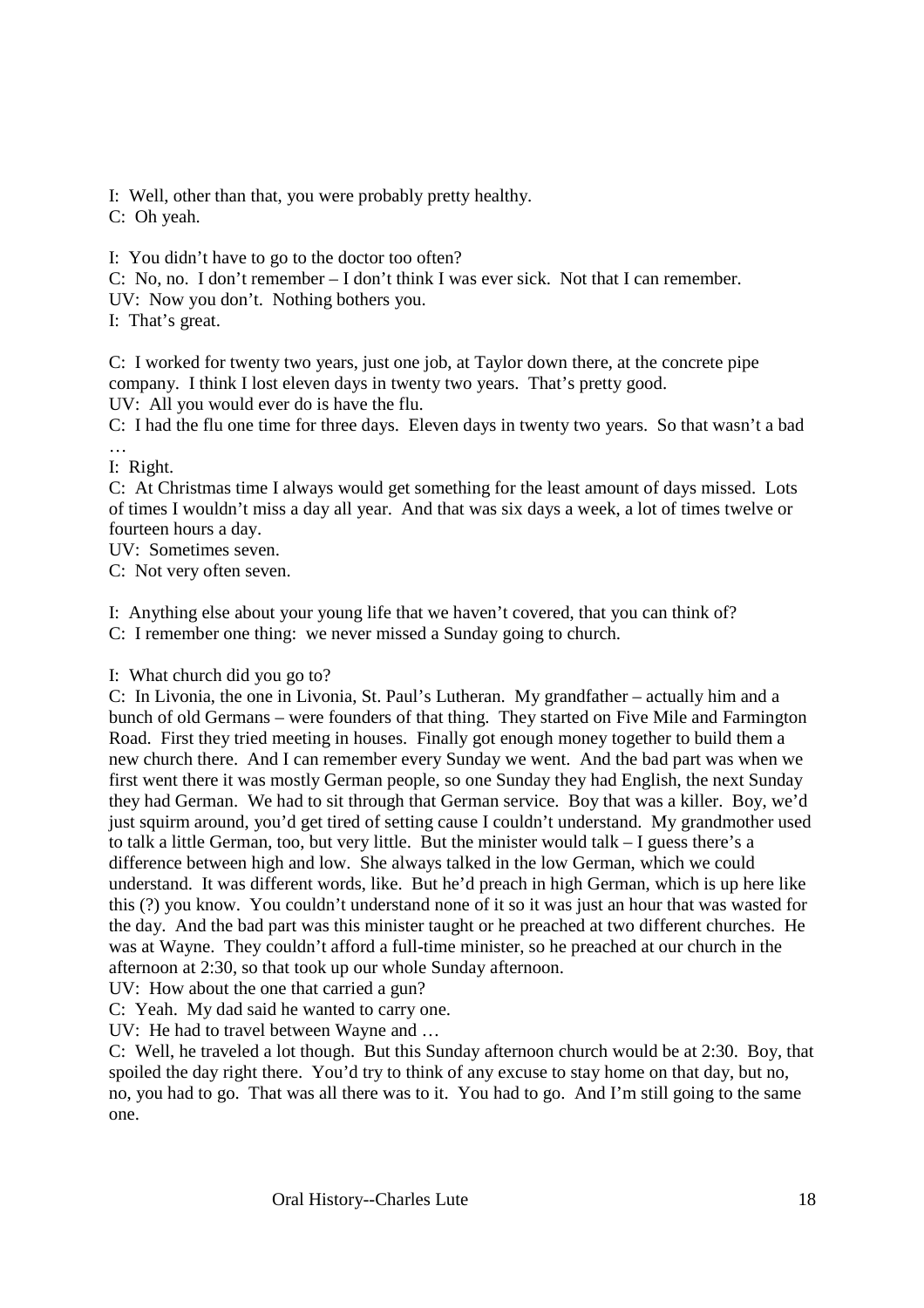I: Well, other than that, you were probably pretty healthy.

C: Oh yeah.

I: You didn't have to go to the doctor too often?

C: No, no. I don't remember – I don't think I was ever sick. Not that I can remember.

UV: Now you don't. Nothing bothers you.

I: That's great.

C: I worked for twenty two years, just one job, at Taylor down there, at the concrete pipe company. I think I lost eleven days in twenty two years. That's pretty good. UV: All you would ever do is have the flu.

C: I had the flu one time for three days. Eleven days in twenty two years. So that wasn't a bad …

I: Right.

C: At Christmas time I always would get something for the least amount of days missed. Lots of times I wouldn't miss a day all year. And that was six days a week, a lot of times twelve or fourteen hours a day.

UV: Sometimes seven.

C: Not very often seven.

I: Anything else about your young life that we haven't covered, that you can think of? C: I remember one thing: we never missed a Sunday going to church.

I: What church did you go to?

C: In Livonia, the one in Livonia, St. Paul's Lutheran. My grandfather – actually him and a bunch of old Germans – were founders of that thing. They started on Five Mile and Farmington Road. First they tried meeting in houses. Finally got enough money together to build them a new church there. And I can remember every Sunday we went. And the bad part was when we first went there it was mostly German people, so one Sunday they had English, the next Sunday they had German. We had to sit through that German service. Boy that was a killer. Boy, we'd just squirm around, you'd get tired of setting cause I couldn't understand. My grandmother used to talk a little German, too, but very little. But the minister would talk – I guess there's a difference between high and low. She always talked in the low German, which we could understand. It was different words, like. But he'd preach in high German, which is up here like this (?) you know. You couldn't understand none of it so it was just an hour that was wasted for the day. And the bad part was this minister taught or he preached at two different churches. He was at Wayne. They couldn't afford a full-time minister, so he preached at our church in the afternoon at 2:30, so that took up our whole Sunday afternoon.

UV: How about the one that carried a gun?

C: Yeah. My dad said he wanted to carry one.

UV: He had to travel between Wayne and …

C: Well, he traveled a lot though. But this Sunday afternoon church would be at 2:30. Boy, that spoiled the day right there. You'd try to think of any excuse to stay home on that day, but no, no, you had to go. That was all there was to it. You had to go. And I'm still going to the same one.